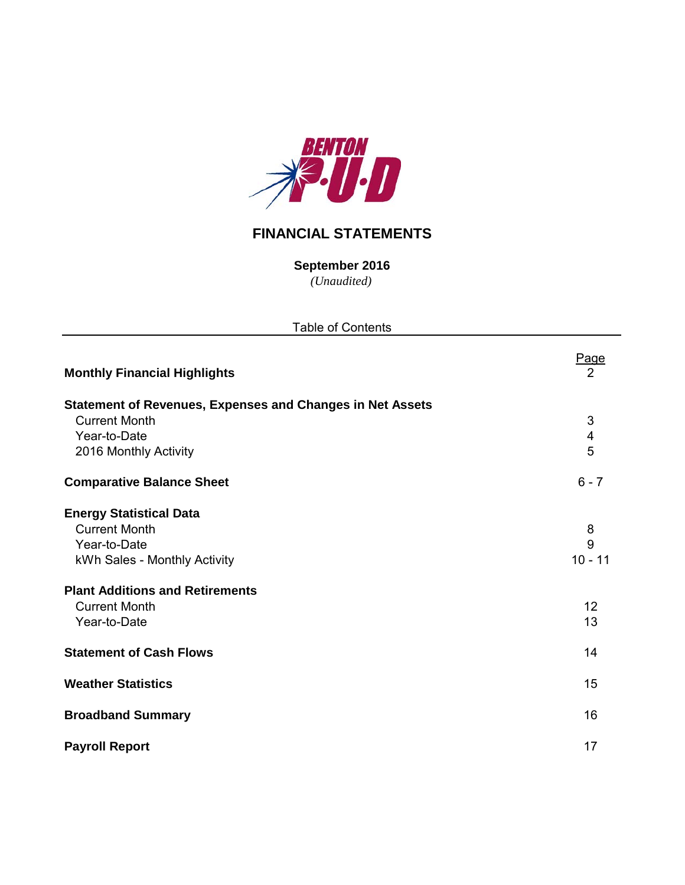

# **FINANCIAL STATEMENTS**

**September 2016**

*(Unaudited)*

| <b>Table of Contents</b>                                                                               |                               |  |  |  |  |  |  |
|--------------------------------------------------------------------------------------------------------|-------------------------------|--|--|--|--|--|--|
| <b>Monthly Financial Highlights</b>                                                                    | <b>Page</b><br>$\overline{2}$ |  |  |  |  |  |  |
| <b>Statement of Revenues, Expenses and Changes in Net Assets</b><br><b>Current Month</b>               | 3                             |  |  |  |  |  |  |
| Year-to-Date<br>2016 Monthly Activity                                                                  | $\overline{\mathbf{4}}$<br>5  |  |  |  |  |  |  |
| <b>Comparative Balance Sheet</b>                                                                       | $6 - 7$                       |  |  |  |  |  |  |
| <b>Energy Statistical Data</b><br><b>Current Month</b><br>Year-to-Date<br>kWh Sales - Monthly Activity | 8<br>9<br>$10 - 11$           |  |  |  |  |  |  |
| <b>Plant Additions and Retirements</b><br><b>Current Month</b><br>Year-to-Date                         | 12<br>13                      |  |  |  |  |  |  |
| <b>Statement of Cash Flows</b>                                                                         | 14                            |  |  |  |  |  |  |
| <b>Weather Statistics</b>                                                                              | 15                            |  |  |  |  |  |  |
| <b>Broadband Summary</b>                                                                               | 16                            |  |  |  |  |  |  |
| <b>Payroll Report</b>                                                                                  | 17                            |  |  |  |  |  |  |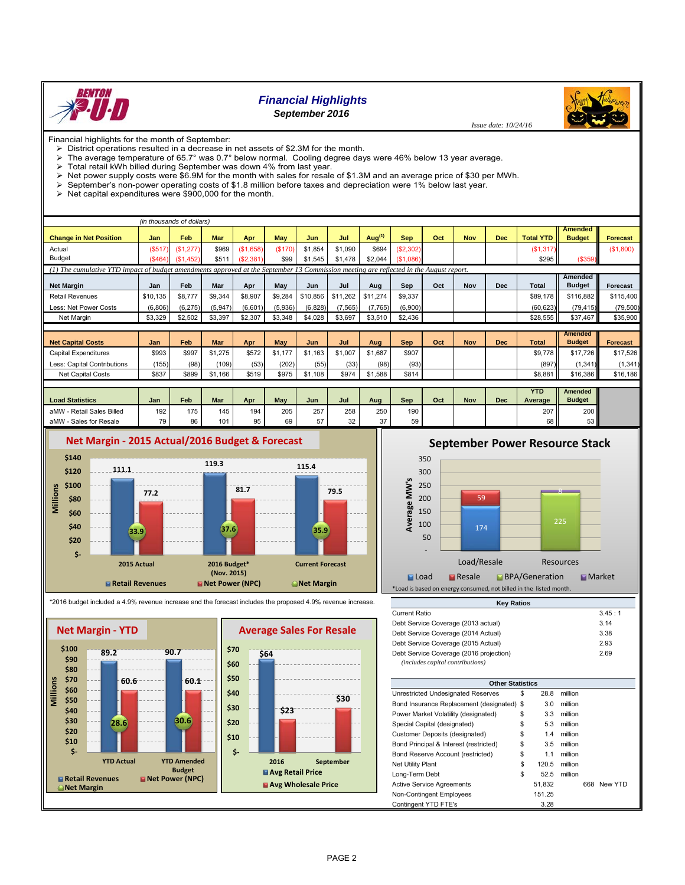

# *Financial Highlights*

*September 2016*



- $\triangleright$  District operations resulted in a decrease in net assets of \$2.3M for the month.
- The average temperature of 65.7° was 0.7° below normal. Cooling degree days were 46% below 13 year average.
- The divideo emperator of committee on sole in the minimal coding as<br>> Total retail kWh billed during September was down 4% from last year.
- Net power supply costs were \$6.9M for the month with sales for resale of \$1.3M and an average price of \$30 per MWh.<br>
September's non-nower operating costs of \$1.8 million before taxes and depreciation were 1% below last y
- September's non-power operating costs of \$1.8 million before taxes and depreciation were 1% below last year.

 $\triangleright$  Net capital expenditures were \$900,000 for the month.

|                                                                                                                                        |          | (in thousands of dollars) |            |           |         |          |          |           |            |     |            |            |                  |                |                 |
|----------------------------------------------------------------------------------------------------------------------------------------|----------|---------------------------|------------|-----------|---------|----------|----------|-----------|------------|-----|------------|------------|------------------|----------------|-----------------|
|                                                                                                                                        |          |                           |            |           |         |          |          |           |            |     |            |            |                  | <b>Amended</b> |                 |
| <b>Change in Net Position</b>                                                                                                          | Jan      | Feb                       | <b>Mar</b> | Apr       | May     | Jun      | Jul      | Aug $(1)$ | <b>Sep</b> | Oct | <b>Nov</b> | <b>Dec</b> | <b>Total YTD</b> | <b>Budget</b>  | <b>Forecast</b> |
| Actual                                                                                                                                 | (S517)   | (\$1,277)                 | \$969      | (S1,658)  | (\$170) | \$1,854  | \$1,090  | \$694     | (\$2,302)  |     |            |            | (S1, 317)        |                | (\$1,800)       |
| Budget                                                                                                                                 | (S464)   | (\$1,452)                 | \$511      | (S2, 381) | \$99    | \$1,545  | \$1,478  | \$2,044   | (S1,086)   |     |            |            | \$295            | (\$359)        |                 |
| (1) The cumulative YTD impact of budget amendments approved at the September 13 Commission meeting are reflected in the August report. |          |                           |            |           |         |          |          |           |            |     |            |            |                  |                |                 |
|                                                                                                                                        |          |                           |            |           |         |          |          |           |            |     |            |            |                  | Amended        |                 |
| <b>Net Margin</b>                                                                                                                      | Jan      | Feb                       | Mar        | Apr       | May     | Jun      | Jul      | Aug       | Sep        | Oct | Nov        | <b>Dec</b> | <b>Total</b>     | <b>Budget</b>  | Forecast        |
| <b>Retail Revenues</b>                                                                                                                 | \$10.135 | \$8,777                   | \$9,344    | \$8,907   | \$9,284 | \$10,856 | \$11,262 | \$11,274  | \$9,337    |     |            |            | \$89,178         | \$116,882      | \$115,400       |
| Less: Net Power Costs                                                                                                                  | (6,806)  | (6, 275)                  | (5,947)    | (6,601)   | (5,936) | (6,828)  | (7, 565) | (7, 765)  | (6,900)    |     |            |            | (60, 623)        | (79, 415)      | (79, 500)       |
| Net Margin                                                                                                                             | \$3,329  | \$2,502                   | \$3,397    | \$2,307   | \$3,348 | \$4,028  | \$3,697  | \$3,510   | \$2,436    |     |            |            | \$28,555         | \$37,467       | \$35,900        |
|                                                                                                                                        |          |                           |            |           |         |          |          |           |            |     |            |            |                  |                |                 |
|                                                                                                                                        |          |                           |            |           |         |          |          |           |            |     |            |            |                  | <b>Amended</b> |                 |
| <b>Net Capital Costs</b>                                                                                                               | Jan      | Feb                       | <b>Mar</b> | Apr       | May     | Jun      | Jul      | Aug       | <b>Sep</b> | Oct | <b>Nov</b> | <b>Dec</b> | <b>Total</b>     | <b>Budget</b>  | <b>Forecast</b> |
| Capital Expenditures                                                                                                                   | \$993    | \$997                     | \$1,275    | \$572     | \$1,177 | \$1.163  | \$1,007  | \$1.687   | \$907      |     |            |            | \$9,778          | \$17,726       | \$17,526        |
| Less: Capital Contributions                                                                                                            | (155)    | (98)                      | (109)      | (53)      | (202)   | (55)     | (33)     | (98)      | (93)       |     |            |            | (897)            | (1, 341)       | (1, 341)        |
| <b>Net Capital Costs</b>                                                                                                               | \$837    | \$899                     | \$1,166    | \$519     | \$975   | \$1,108  | \$974    | \$1,588   | \$814      |     |            |            | \$8,881          | \$16,386       | \$16,186        |
|                                                                                                                                        |          |                           |            |           |         |          |          |           |            |     |            |            |                  |                |                 |
|                                                                                                                                        |          |                           |            |           |         |          |          |           |            |     |            |            | <b>VTD</b>       | Amondod        |                 |

|                              |                |                |                 |                |            |     |          |        |     |     |     |            | YTD     | Amended       |
|------------------------------|----------------|----------------|-----------------|----------------|------------|-----|----------|--------|-----|-----|-----|------------|---------|---------------|
| <b>Load Statistics</b>       | Jan            | Feb            | Mar             | Apr            | <b>Mav</b> | Jun | Jul      | Aua    | Sep | Oct | Nov | <b>Dec</b> | Average | <b>Budget</b> |
| - Retail Sales Billed<br>aMW | 192            | 175            | 145             | 194            | 205        | 257 | 258      | 250    | 190 |     |     |            | 207     | 200           |
| Sales for Resale<br>aMW      | $\overline{z}$ | 0 <sup>o</sup> | $\overline{10}$ | 0 <sub>F</sub> |            |     | ົດຕ<br>ັ | $\sim$ | 59  |     |     |            | 68      | 53 II         |



# **September Power Resource Stack**

 *Issue date: 10/24/16*



**Key Ratios**

| <b>Net Margin - YTD</b>                                                                          |                                               |                                                               | <b>Average Sales For Resale</b>                                                     |
|--------------------------------------------------------------------------------------------------|-----------------------------------------------|---------------------------------------------------------------|-------------------------------------------------------------------------------------|
| \$100<br>\$90<br>\$80<br>\$70<br>Millions<br>\$60<br>\$50<br>\$40<br>\$30<br>\$20<br>\$10<br>\$- | 89.2<br>60.6<br>28.6                          | 90.7<br>60.1<br>30.6                                          | \$70<br>\$64<br>\$60<br>\$50<br>\$40<br>\$30<br>\$30<br>\$23<br>\$20<br>\$10<br>\$- |
| Net Margin                                                                                       | <b>YTD Actual</b><br><b>■ Retail Revenues</b> | <b>YTD Amended</b><br><b>Budget</b><br><b>Net Power (NPC)</b> | September<br>2016<br>Avg Retail Price<br>Avg Wholesale Price                        |

\*2016 budget included a 4.9% revenue increase and the forecast includes the proposed 4.9% revenue increase.

| Current Ratio                           |    |        |         |     | 3.45:1  |
|-----------------------------------------|----|--------|---------|-----|---------|
| Debt Service Coverage (2013 actual)     |    |        |         |     | 3.14    |
| Debt Service Coverage (2014 Actual)     |    |        |         |     | 3.38    |
| Debt Service Coverage (2015 Actual)     |    |        |         |     | 2.93    |
| Debt Service Coverage (2016 projection) |    |        |         |     | 2.69    |
| (includes capital contributions)        |    |        |         |     |         |
|                                         |    |        |         |     |         |
| <b>Other Statistics</b>                 |    |        |         |     |         |
| Unrestricted Undesignated Reserves      | S  | 28.8   | million |     |         |
| Bond Insurance Replacement (designated) | \$ | 3.0    | million |     |         |
| Power Market Volatility (designated)    | \$ | 3.3    | million |     |         |
| Special Capital (designated)            | \$ | 5.3    | million |     |         |
| Customer Deposits (designated)          | \$ | 1.4    | million |     |         |
| Bond Principal & Interest (restricted)  | \$ | 3.5    | million |     |         |
| Bond Reserve Account (restricted)       | \$ | 1.1    | million |     |         |
| Net Utility Plant                       | \$ | 120.5  | million |     |         |
| Long-Term Debt                          | \$ | 52.5   | million |     |         |
| Active Service Agreements               |    | 51,832 |         | 668 | New YTD |
| Non-Contingent Employees                |    | 151.25 |         |     |         |
| Contingent YTD FTE's                    |    | 3.28   |         |     |         |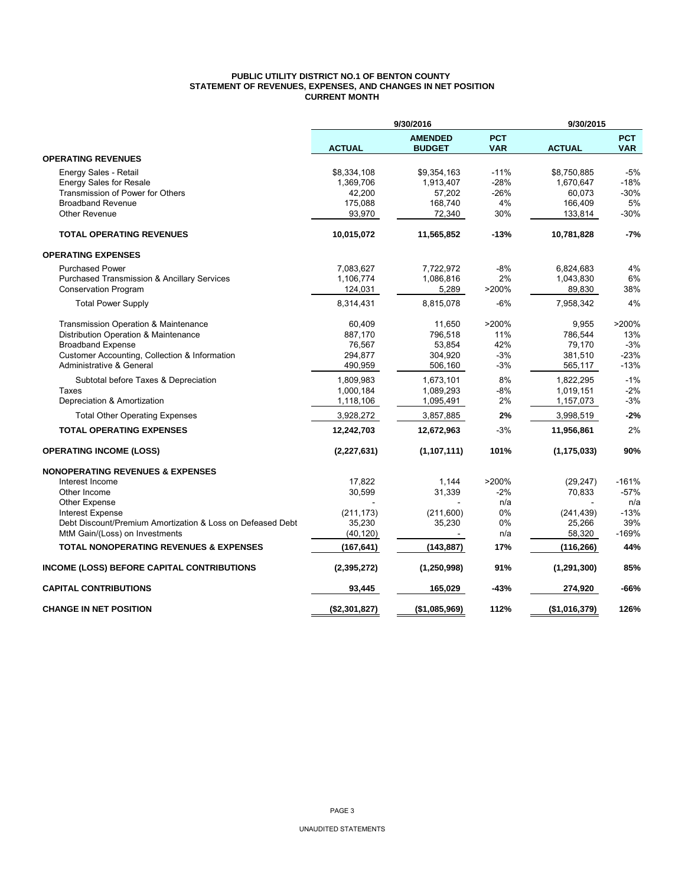### **PUBLIC UTILITY DISTRICT NO.1 OF BENTON COUNTY STATEMENT OF REVENUES, EXPENSES, AND CHANGES IN NET POSITION CURRENT MONTH**

|                                                            | 9/30/2016     |                                 | 9/30/2015                |               |                          |  |
|------------------------------------------------------------|---------------|---------------------------------|--------------------------|---------------|--------------------------|--|
|                                                            | <b>ACTUAL</b> | <b>AMENDED</b><br><b>BUDGET</b> | <b>PCT</b><br><b>VAR</b> | <b>ACTUAL</b> | <b>PCT</b><br><b>VAR</b> |  |
| <b>OPERATING REVENUES</b>                                  |               |                                 |                          |               |                          |  |
| Energy Sales - Retail                                      | \$8,334,108   | \$9,354,163                     | $-11%$                   | \$8,750,885   | $-5%$                    |  |
| <b>Energy Sales for Resale</b>                             | 1,369,706     | 1,913,407                       | $-28%$                   | 1,670,647     | $-18%$                   |  |
| Transmission of Power for Others                           | 42,200        | 57,202                          | $-26%$                   | 60,073        | $-30%$                   |  |
| <b>Broadband Revenue</b>                                   | 175,088       | 168,740                         | 4%                       | 166,409       | 5%                       |  |
| Other Revenue                                              | 93,970        | 72,340                          | 30%                      | 133,814       | $-30%$                   |  |
| <b>TOTAL OPERATING REVENUES</b>                            | 10,015,072    | 11,565,852                      | $-13%$                   | 10,781,828    | $-7%$                    |  |
| <b>OPERATING EXPENSES</b>                                  |               |                                 |                          |               |                          |  |
| <b>Purchased Power</b>                                     | 7,083,627     | 7,722,972                       | $-8%$                    | 6,824,683     | 4%                       |  |
| <b>Purchased Transmission &amp; Ancillary Services</b>     | 1,106,774     | 1,086,816                       | 2%                       | 1,043,830     | 6%                       |  |
| <b>Conservation Program</b>                                | 124,031       | 5,289                           | >200%                    | 89,830        | 38%                      |  |
| <b>Total Power Supply</b>                                  | 8,314,431     | 8,815,078                       | $-6%$                    | 7,958,342     | 4%                       |  |
| Transmission Operation & Maintenance                       | 60,409        | 11,650                          | >200%                    | 9,955         | >200%                    |  |
| Distribution Operation & Maintenance                       | 887,170       | 796,518                         | 11%                      | 786,544       | 13%                      |  |
| <b>Broadband Expense</b>                                   | 76,567        | 53,854                          | 42%                      | 79,170        | $-3%$                    |  |
| Customer Accounting, Collection & Information              | 294,877       | 304,920                         | $-3%$                    | 381,510       | $-23%$                   |  |
| Administrative & General                                   | 490,959       | 506,160                         | $-3%$                    | 565,117       | $-13%$                   |  |
| Subtotal before Taxes & Depreciation                       | 1,809,983     | 1,673,101                       | 8%                       | 1,822,295     | $-1%$                    |  |
| Taxes                                                      | 1,000,184     | 1,089,293                       | $-8%$                    | 1,019,151     | $-2%$                    |  |
| Depreciation & Amortization                                | 1,118,106     | 1,095,491                       | 2%                       | 1,157,073     | $-3%$                    |  |
| <b>Total Other Operating Expenses</b>                      | 3,928,272     | 3,857,885                       | 2%                       | 3,998,519     | $-2%$                    |  |
| <b>TOTAL OPERATING EXPENSES</b>                            | 12,242,703    | 12,672,963                      | $-3%$                    | 11,956,861    | 2%                       |  |
| <b>OPERATING INCOME (LOSS)</b>                             | (2, 227, 631) | (1, 107, 111)                   | 101%                     | (1, 175, 033) | 90%                      |  |
| <b>NONOPERATING REVENUES &amp; EXPENSES</b>                |               |                                 |                          |               |                          |  |
| Interest Income                                            | 17,822        | 1,144                           | >200%                    | (29, 247)     | $-161%$                  |  |
| Other Income                                               | 30,599        | 31,339                          | $-2%$                    | 70,833        | $-57%$                   |  |
| <b>Other Expense</b>                                       |               |                                 | n/a                      |               | n/a                      |  |
| <b>Interest Expense</b>                                    | (211, 173)    | (211,600)                       | 0%                       | (241, 439)    | $-13%$                   |  |
| Debt Discount/Premium Amortization & Loss on Defeased Debt | 35,230        | 35,230                          | 0%                       | 25,266        | 39%                      |  |
| MtM Gain/(Loss) on Investments                             | (40, 120)     |                                 | n/a                      | 58,320        | $-169%$                  |  |
| <b>TOTAL NONOPERATING REVENUES &amp; EXPENSES</b>          | (167, 641)    | (143, 887)                      | 17%                      | (116, 266)    | 44%                      |  |
| <b>INCOME (LOSS) BEFORE CAPITAL CONTRIBUTIONS</b>          | (2,395,272)   | (1, 250, 998)                   | 91%                      | (1, 291, 300) | 85%                      |  |
| <b>CAPITAL CONTRIBUTIONS</b>                               | 93,445        | 165,029                         | $-43%$                   | 274,920       | -66%                     |  |
| <b>CHANGE IN NET POSITION</b>                              | (\$2,301,827) | (\$1,085,969)                   | 112%                     | (\$1,016,379) | 126%                     |  |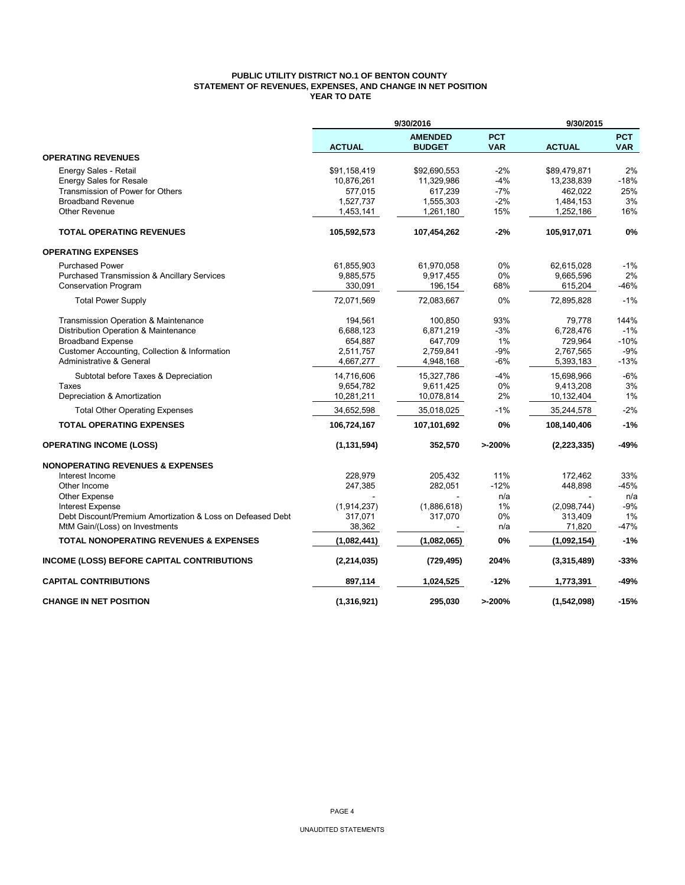## **PUBLIC UTILITY DISTRICT NO.1 OF BENTON COUNTY STATEMENT OF REVENUES, EXPENSES, AND CHANGE IN NET POSITION YEAR TO DATE**

|                                                            |               |                                 | 9/30/2015                |               |                          |
|------------------------------------------------------------|---------------|---------------------------------|--------------------------|---------------|--------------------------|
|                                                            | <b>ACTUAL</b> | <b>AMENDED</b><br><b>BUDGET</b> | <b>PCT</b><br><b>VAR</b> | <b>ACTUAL</b> | <b>PCT</b><br><b>VAR</b> |
| <b>OPERATING REVENUES</b>                                  |               |                                 |                          |               |                          |
| Energy Sales - Retail                                      | \$91,158,419  | \$92,690,553                    | $-2%$                    | \$89,479,871  | 2%                       |
| <b>Energy Sales for Resale</b>                             | 10,876,261    | 11,329,986                      | $-4%$                    | 13,238,839    | $-18%$                   |
| Transmission of Power for Others                           | 577,015       | 617,239                         | $-7%$                    | 462,022       | 25%                      |
| <b>Broadband Revenue</b>                                   | 1,527,737     | 1,555,303                       | $-2%$                    | 1,484,153     | 3%                       |
| <b>Other Revenue</b>                                       | 1,453,141     | 1,261,180                       | 15%                      | 1,252,186     | 16%                      |
| <b>TOTAL OPERATING REVENUES</b>                            | 105,592,573   | 107,454,262                     | $-2%$                    | 105,917,071   | 0%                       |
| <b>OPERATING EXPENSES</b>                                  |               |                                 |                          |               |                          |
| <b>Purchased Power</b>                                     | 61,855,903    | 61,970,058                      | 0%                       | 62,615,028    | $-1%$                    |
| <b>Purchased Transmission &amp; Ancillary Services</b>     | 9,885,575     | 9,917,455                       | 0%                       | 9,665,596     | 2%                       |
| <b>Conservation Program</b>                                | 330,091       | 196,154                         | 68%                      | 615,204       | $-46%$                   |
| <b>Total Power Supply</b>                                  | 72,071,569    | 72,083,667                      | 0%                       | 72,895,828    | $-1%$                    |
| Transmission Operation & Maintenance                       | 194,561       | 100,850                         | 93%                      | 79,778        | 144%                     |
| Distribution Operation & Maintenance                       | 6,688,123     | 6,871,219                       | $-3%$                    | 6,728,476     | $-1%$                    |
| <b>Broadband Expense</b>                                   | 654,887       | 647,709                         | 1%                       | 729,964       | $-10%$                   |
| Customer Accounting, Collection & Information              | 2,511,757     | 2,759,841                       | $-9%$                    | 2,767,565     | $-9%$                    |
| Administrative & General                                   | 4,667,277     | 4,948,168                       | $-6%$                    | 5,393,183     | $-13%$                   |
| Subtotal before Taxes & Depreciation                       | 14,716,606    | 15,327,786                      | $-4%$                    | 15,698,966    | $-6%$                    |
| Taxes                                                      | 9,654,782     | 9,611,425                       | 0%                       | 9,413,208     | 3%                       |
| Depreciation & Amortization                                | 10,281,211    | 10,078,814                      | 2%                       | 10,132,404    | 1%                       |
| <b>Total Other Operating Expenses</b>                      | 34,652,598    | 35,018,025                      | $-1%$                    | 35,244,578    | $-2%$                    |
| <b>TOTAL OPERATING EXPENSES</b>                            | 106,724,167   | 107,101,692                     | 0%                       | 108,140,406   | $-1%$                    |
| <b>OPERATING INCOME (LOSS)</b>                             | (1, 131, 594) | 352,570                         | >200%                    | (2, 223, 335) | -49%                     |
| <b>NONOPERATING REVENUES &amp; EXPENSES</b>                |               |                                 |                          |               |                          |
| Interest Income                                            | 228,979       | 205,432                         | 11%                      | 172,462       | 33%                      |
| Other Income                                               | 247,385       | 282,051                         | $-12%$                   | 448,898       | $-45%$                   |
| <b>Other Expense</b>                                       |               |                                 | n/a                      |               | n/a                      |
| Interest Expense                                           | (1,914,237)   | (1,886,618)                     | 1%                       | (2,098,744)   | $-9%$                    |
| Debt Discount/Premium Amortization & Loss on Defeased Debt | 317,071       | 317,070                         | 0%                       | 313,409       | 1%<br>$-47%$             |
| MtM Gain/(Loss) on Investments                             | 38,362        |                                 | n/a                      | 71,820        |                          |
| <b>TOTAL NONOPERATING REVENUES &amp; EXPENSES</b>          | (1,082,441)   | (1,082,065)                     | 0%                       | (1,092,154)   | $-1%$                    |
| <b>INCOME (LOSS) BEFORE CAPITAL CONTRIBUTIONS</b>          | (2, 214, 035) | (729, 495)                      | 204%                     | (3,315,489)   | $-33%$                   |
| <b>CAPITAL CONTRIBUTIONS</b>                               | 897,114       | 1,024,525                       | $-12%$                   | 1,773,391     | $-49%$                   |
| <b>CHANGE IN NET POSITION</b>                              | (1,316,921)   | 295,030                         | >200%                    | (1,542,098)   | $-15%$                   |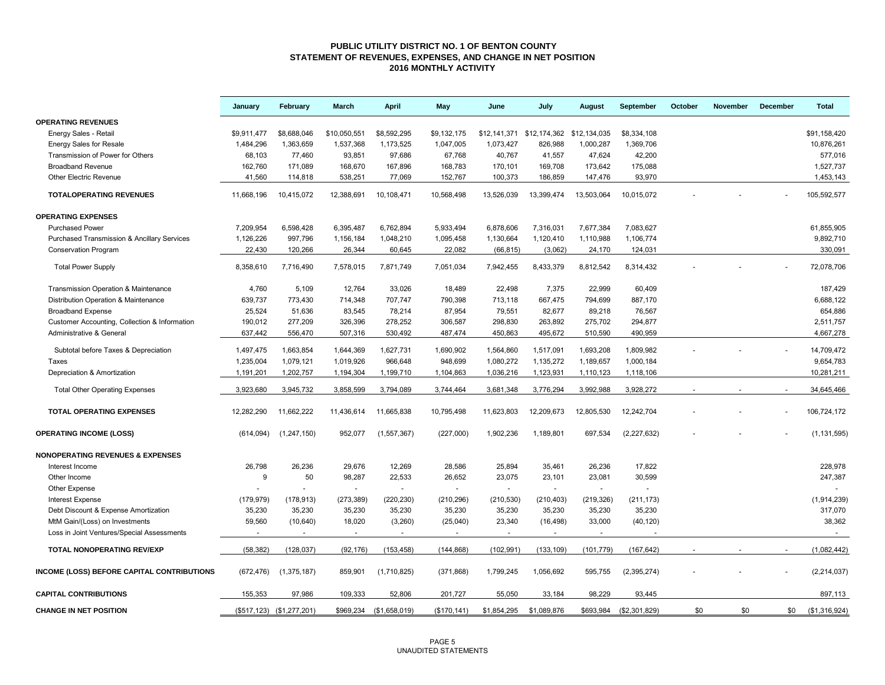## **PUBLIC UTILITY DISTRICT NO. 1 OF BENTON COUNTY STATEMENT OF REVENUES, EXPENSES, AND CHANGE IN NET POSITION 2016 MONTHLY ACTIVITY**

|                                                        | January     | February                  | March                    | April                    | May          | June                                   | July        | August     | September     | October | <b>November</b> | December | <b>Total</b>  |
|--------------------------------------------------------|-------------|---------------------------|--------------------------|--------------------------|--------------|----------------------------------------|-------------|------------|---------------|---------|-----------------|----------|---------------|
| <b>OPERATING REVENUES</b>                              |             |                           |                          |                          |              |                                        |             |            |               |         |                 |          |               |
| Energy Sales - Retail                                  | \$9,911,477 | \$8,688,046               | \$10,050,551             | \$8,592,295              | \$9,132,175  | \$12,141,371 \$12,174,362 \$12,134,035 |             |            | \$8,334,108   |         |                 |          | \$91,158,420  |
| <b>Energy Sales for Resale</b>                         | 1,484,296   | 1,363,659                 | 1,537,368                | 1,173,525                | 1,047,005    | 1,073,427                              | 826,988     | 1,000,287  | 1,369,706     |         |                 |          | 10,876,261    |
| Transmission of Power for Others                       | 68,103      | 77,460                    | 93,851                   | 97,686                   | 67,768       | 40,767                                 | 41,557      | 47,624     | 42,200        |         |                 |          | 577,016       |
| <b>Broadband Revenue</b>                               | 162,760     | 171,089                   | 168,670                  | 167,896                  | 168,783      | 170,101                                | 169,708     | 173,642    | 175,088       |         |                 |          | 1,527,737     |
| Other Electric Revenue                                 | 41,560      | 114,818                   | 538,251                  | 77,069                   | 152,767      | 100,373                                | 186,859     | 147,476    | 93,970        |         |                 |          | 1,453,143     |
| <b>TOTALOPERATING REVENUES</b>                         | 11,668,196  | 10,415,072                | 12,388,691               | 10,108,471               | 10,568,498   | 13,526,039                             | 13,399,474  | 13,503,064 | 10,015,072    |         |                 |          | 105,592,577   |
| <b>OPERATING EXPENSES</b>                              |             |                           |                          |                          |              |                                        |             |            |               |         |                 |          |               |
| <b>Purchased Power</b>                                 | 7,209,954   | 6,598,428                 | 6,395,487                | 6,762,894                | 5,933,494    | 6,878,606                              | 7,316,031   | 7,677,384  | 7,083,627     |         |                 |          | 61,855,905    |
| <b>Purchased Transmission &amp; Ancillary Services</b> | 1,126,226   | 997,796                   | 1,156,184                | 1,048,210                | 1,095,458    | 1,130,664                              | 1,120,410   | 1,110,988  | 1,106,774     |         |                 |          | 9,892,710     |
| <b>Conservation Program</b>                            | 22.430      | 120,266                   | 26,344                   | 60,645                   | 22,082       | (66, 815)                              | (3,062)     | 24,170     | 124,031       |         |                 |          | 330,091       |
| <b>Total Power Supply</b>                              | 8,358,610   | 7,716,490                 | 7,578,015                | 7,871,749                | 7,051,034    | 7,942,455                              | 8,433,379   | 8,812,542  | 8,314,432     |         |                 |          | 72,078,706    |
| Transmission Operation & Maintenance                   | 4,760       | 5,109                     | 12,764                   | 33,026                   | 18,489       | 22,498                                 | 7,375       | 22,999     | 60,409        |         |                 |          | 187,429       |
| Distribution Operation & Maintenance                   | 639,737     | 773,430                   | 714,348                  | 707,747                  | 790,398      | 713,118                                | 667,475     | 794,699    | 887,170       |         |                 |          | 6,688,122     |
| <b>Broadband Expense</b>                               | 25,524      | 51,636                    | 83,545                   | 78,214                   | 87,954       | 79,551                                 | 82,677      | 89,218     | 76,567        |         |                 |          | 654,886       |
| Customer Accounting, Collection & Information          | 190,012     | 277,209                   | 326,396                  | 278,252                  | 306,587      | 298,830                                | 263,892     | 275,702    | 294,877       |         |                 |          | 2,511,757     |
| Administrative & General                               | 637.442     | 556,470                   | 507,316                  | 530,492                  | 487,474      | 450,863                                | 495,672     | 510,590    | 490,959       |         |                 |          | 4,667,278     |
| Subtotal before Taxes & Depreciation                   | 1,497,475   | 1,663,854                 | 1,644,369                | 1,627,731                | 1,690,902    | 1,564,860                              | 1,517,091   | 1,693,208  | 1,809,982     |         |                 |          | 14,709,472    |
| Taxes                                                  | 1,235,004   | 1,079,121                 | 1,019,926                | 966,648                  | 948,699      | 1,080,272                              | 1,135,272   | 1,189,657  | 1,000,184     |         |                 |          | 9,654,783     |
| Depreciation & Amortization                            | 1,191,201   | 1,202,757                 | 1,194,304                | 1,199,710                | 1,104,863    | 1,036,216                              | 1,123,931   | 1,110,123  | 1,118,106     |         |                 |          | 10,281,211    |
| <b>Total Other Operating Expenses</b>                  | 3,923,680   | 3,945,732                 | 3,858,599                | 3,794,089                | 3,744,464    | 3,681,348                              | 3,776,294   | 3,992,988  | 3,928,272     |         |                 |          | 34,645,466    |
| <b>TOTAL OPERATING EXPENSES</b>                        | 12,282,290  | 11,662,222                | 11,436,614               | 11,665,838               | 10,795,498   | 11,623,803                             | 12,209,673  | 12,805,530 | 12,242,704    |         |                 |          | 106,724,172   |
| <b>OPERATING INCOME (LOSS)</b>                         | (614, 094)  | (1,247,150)               | 952,077                  | (1, 557, 367)            | (227,000)    | 1,902,236                              | 1,189,801   | 697,534    | (2,227,632)   |         |                 |          | (1, 131, 595) |
| <b>NONOPERATING REVENUES &amp; EXPENSES</b>            |             |                           |                          |                          |              |                                        |             |            |               |         |                 |          |               |
| Interest Income                                        | 26,798      | 26,236                    | 29,676                   | 12,269                   | 28,586       | 25,894                                 | 35,461      | 26,236     | 17,822        |         |                 |          | 228,978       |
| Other Income                                           | 9           | 50                        | 98,287                   | 22,533                   | 26,652       | 23,075                                 | 23,101      | 23,081     | 30,599        |         |                 |          | 247,387       |
| Other Expense                                          |             |                           | $\overline{\phantom{a}}$ | $\sim$                   |              | $\sim$                                 | $\sim$      | $\sim$     |               |         |                 |          |               |
| <b>Interest Expense</b>                                | (179, 979)  | (178, 913)                | (273, 389)               | (220, 230)               | (210, 296)   | (210, 530)                             | (210, 403)  | (219, 326) | (211, 173)    |         |                 |          | (1,914,239)   |
| Debt Discount & Expense Amortization                   | 35,230      | 35,230                    | 35,230                   | 35,230                   | 35,230       | 35,230                                 | 35,230      | 35,230     | 35,230        |         |                 |          | 317,070       |
| MtM Gain/(Loss) on Investments                         | 59,560      | (10, 640)                 | 18,020                   | (3,260)                  | (25,040)     | 23,340                                 | (16, 498)   | 33,000     | (40, 120)     |         |                 |          | 38,362        |
| Loss in Joint Ventures/Special Assessments             | $\sim$      | $\sim$                    | $\overline{\phantom{a}}$ | $\overline{\phantom{a}}$ | $\sim$       | $\sim$                                 | $\sim$      | $\sim$     |               |         |                 |          | $\sim$        |
| <b>TOTAL NONOPERATING REV/EXP</b>                      | (58, 382)   | (128, 037)                | (92, 176)                | (153, 458)               | (144, 868)   | (102, 991)                             | (133, 109)  | (101, 779) | (167, 642)    |         |                 |          | (1,082,442)   |
| INCOME (LOSS) BEFORE CAPITAL CONTRIBUTIONS             | (672, 476)  | (1,375,187)               | 859,901                  | (1,710,825)              | (371, 868)   | 1,799,245                              | 1,056,692   | 595,755    | (2,395,274)   |         |                 |          | (2, 214, 037) |
| <b>CAPITAL CONTRIBUTIONS</b>                           | 155,353     | 97,986                    | 109,333                  | 52,806                   | 201,727      | 55,050                                 | 33,184      | 98,229     | 93,445        |         |                 |          | 897,113       |
| <b>CHANGE IN NET POSITION</b>                          |             | (\$517,123) (\$1,277,201) |                          | \$969,234 (\$1,658,019)  | (\$170, 141) | \$1,854,295                            | \$1,089,876 | \$693,984  | (\$2,301,829) | \$0     | \$0             | \$0      | (\$1,316,924) |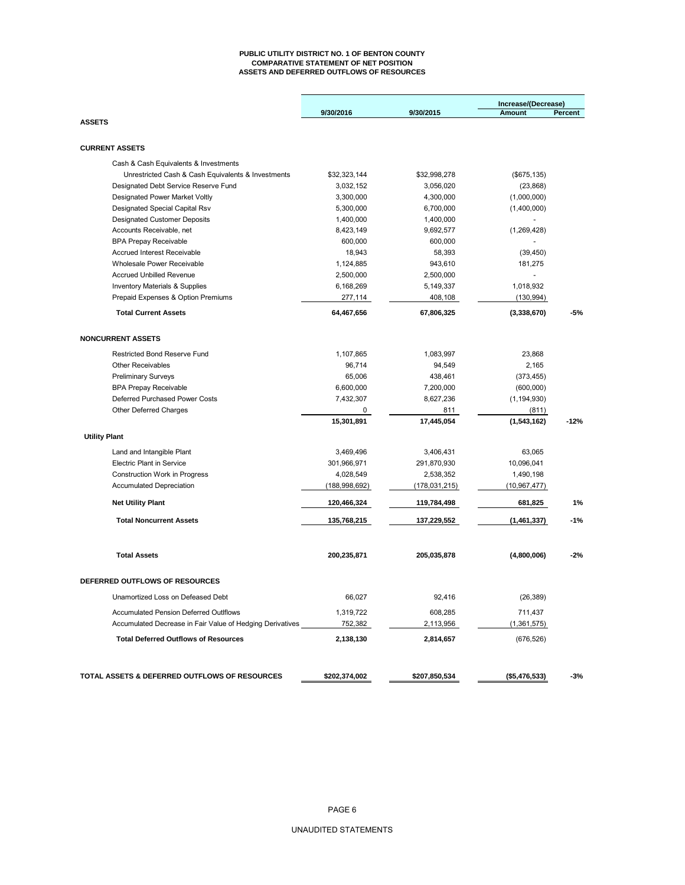#### **PUBLIC UTILITY DISTRICT NO. 1 OF BENTON COUNTY COMPARATIVE STATEMENT OF NET POSITION ASSETS AND DEFERRED OUTFLOWS OF RESOURCES**

|                                                           | 9/30/2016       | 9/30/2015     | Increase/(Decrease)<br><b>Amount</b> | Percent |
|-----------------------------------------------------------|-----------------|---------------|--------------------------------------|---------|
| <b>ASSETS</b>                                             |                 |               |                                      |         |
| <b>CURRENT ASSETS</b>                                     |                 |               |                                      |         |
| Cash & Cash Equivalents & Investments                     |                 |               |                                      |         |
| Unrestricted Cash & Cash Equivalents & Investments        | \$32,323,144    | \$32,998,278  | (\$675, 135)                         |         |
| Designated Debt Service Reserve Fund                      | 3,032,152       | 3,056,020     | (23, 868)                            |         |
| Designated Power Market Voltly                            | 3,300,000       | 4,300,000     | (1,000,000)                          |         |
| Designated Special Capital Rsv                            | 5,300,000       | 6,700,000     | (1,400,000)                          |         |
| <b>Designated Customer Deposits</b>                       | 1,400,000       | 1,400,000     |                                      |         |
| Accounts Receivable, net                                  | 8,423,149       | 9,692,577     | (1,269,428)                          |         |
| <b>BPA Prepay Receivable</b>                              | 600,000         | 600,000       |                                      |         |
| <b>Accrued Interest Receivable</b>                        | 18,943          | 58,393        | (39, 450)                            |         |
| Wholesale Power Receivable                                | 1,124,885       | 943,610       | 181,275                              |         |
| <b>Accrued Unbilled Revenue</b>                           | 2,500,000       | 2,500,000     |                                      |         |
| <b>Inventory Materials &amp; Supplies</b>                 | 6,168,269       | 5,149,337     | 1,018,932                            |         |
| Prepaid Expenses & Option Premiums                        | 277,114         | 408,108       | (130, 994)                           |         |
| <b>Total Current Assets</b>                               | 64,467,656      | 67,806,325    | (3,338,670)                          | -5%     |
|                                                           |                 |               |                                      |         |
| <b>NONCURRENT ASSETS</b>                                  |                 |               |                                      |         |
| <b>Restricted Bond Reserve Fund</b>                       | 1,107,865       | 1,083,997     | 23,868                               |         |
| <b>Other Receivables</b>                                  | 96,714          | 94,549        | 2,165                                |         |
| <b>Preliminary Surveys</b>                                | 65.006          | 438,461       | (373, 455)                           |         |
| <b>BPA Prepay Receivable</b>                              | 6,600,000       | 7,200,000     | (600,000)                            |         |
| Deferred Purchased Power Costs                            | 7.432.307       | 8,627,236     | (1, 194, 930)                        |         |
| Other Deferred Charges                                    | 0               | 811           | (811)                                |         |
|                                                           | 15,301,891      | 17,445,054    | (1,543,162)                          | $-12%$  |
| <b>Utility Plant</b>                                      |                 |               |                                      |         |
| Land and Intangible Plant                                 | 3,469,496       | 3,406,431     | 63,065                               |         |
| <b>Electric Plant in Service</b>                          | 301,966,971     | 291,870,930   | 10,096,041                           |         |
| <b>Construction Work in Progress</b>                      | 4,028,549       | 2,538,352     | 1,490,198                            |         |
| <b>Accumulated Depreciation</b>                           | (188, 998, 692) | (178,031,215) | (10, 967, 477)                       |         |
| <b>Net Utility Plant</b>                                  | 120,466,324     | 119,784,498   | 681,825                              | 1%      |
| <b>Total Noncurrent Assets</b>                            | 135,768,215     | 137,229,552   | (1,461,337)                          | $-1%$   |
| <b>Total Assets</b>                                       | 200,235,871     | 205,035,878   | (4,800,006)                          | $-2%$   |
| DEFERRED OUTFLOWS OF RESOURCES                            |                 |               |                                      |         |
| Unamortized Loss on Defeased Debt                         | 66,027          | 92,416        | (26, 389)                            |         |
| <b>Accumulated Pension Deferred Outlflows</b>             | 1,319,722       | 608,285       | 711,437                              |         |
| Accumulated Decrease in Fair Value of Hedging Derivatives | 752,382         | 2,113,956     | (1,361,575)                          |         |
| <b>Total Deferred Outflows of Resources</b>               | 2,138,130       | 2,814,657     | (676, 526)                           |         |
| TOTAL ASSETS & DEFERRED OUTFLOWS OF RESOURCES             | \$202,374,002   | \$207,850,534 | (\$5,476,533)                        | -3%     |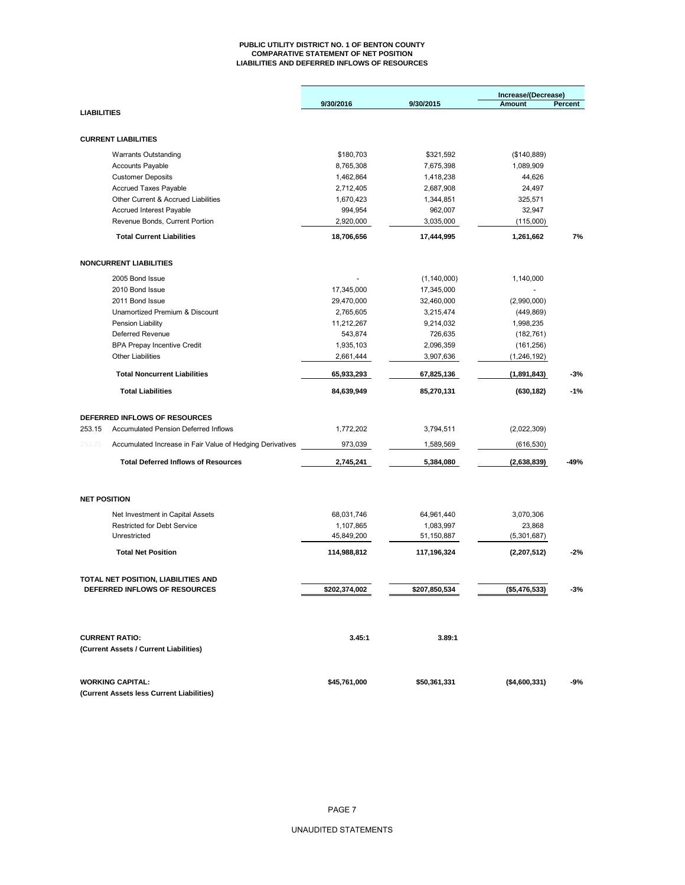#### **PUBLIC UTILITY DISTRICT NO. 1 OF BENTON COUNTY COMPARATIVE STATEMENT OF NET POSITION LIABILITIES AND DEFERRED INFLOWS OF RESOURCES**

|                    |                                                           | 9/30/2016     | 9/30/2015     | Increase/(Decrease)<br><b>Amount</b> | Percent |  |
|--------------------|-----------------------------------------------------------|---------------|---------------|--------------------------------------|---------|--|
| <b>LIABILITIES</b> |                                                           |               |               |                                      |         |  |
|                    | <b>CURRENT LIABILITIES</b>                                |               |               |                                      |         |  |
|                    | <b>Warrants Outstanding</b>                               | \$180,703     | \$321,592     | (\$140,889)                          |         |  |
|                    | <b>Accounts Payable</b>                                   | 8,765,308     | 7,675,398     | 1,089,909                            |         |  |
|                    | <b>Customer Deposits</b>                                  | 1,462,864     | 1,418,238     | 44,626                               |         |  |
|                    | Accrued Taxes Payable                                     | 2,712,405     | 2,687,908     | 24,497                               |         |  |
|                    | Other Current & Accrued Liabilities                       | 1,670,423     | 1,344,851     | 325,571                              |         |  |
|                    | Accrued Interest Payable                                  | 994,954       | 962,007       | 32,947                               |         |  |
|                    | Revenue Bonds, Current Portion                            | 2,920,000     | 3,035,000     | (115,000)                            |         |  |
|                    | <b>Total Current Liabilities</b>                          | 18,706,656    | 17,444,995    | 1,261,662                            | 7%      |  |
|                    | <b>NONCURRENT LIABILITIES</b>                             |               |               |                                      |         |  |
|                    |                                                           |               |               |                                      |         |  |
|                    | 2005 Bond Issue                                           |               | (1, 140, 000) | 1,140,000                            |         |  |
|                    | 2010 Bond Issue                                           | 17,345,000    | 17,345,000    |                                      |         |  |
|                    | 2011 Bond Issue                                           | 29,470,000    | 32,460,000    | (2,990,000)                          |         |  |
|                    | Unamortized Premium & Discount                            | 2,765,605     | 3,215,474     | (449, 869)                           |         |  |
|                    | Pension Liability                                         | 11,212,267    | 9,214,032     | 1,998,235                            |         |  |
|                    | Deferred Revenue                                          | 543,874       | 726,635       | (182, 761)                           |         |  |
|                    | <b>BPA Prepay Incentive Credit</b>                        | 1,935,103     | 2,096,359     | (161, 256)                           |         |  |
|                    | <b>Other Liabilities</b>                                  | 2,661,444     | 3,907,636     | (1, 246, 192)                        |         |  |
|                    | <b>Total Noncurrent Liabilities</b>                       | 65,933,293    | 67,825,136    | (1,891,843)                          | $-3%$   |  |
|                    | <b>Total Liabilities</b>                                  | 84,639,949    | 85,270,131    | (630, 182)                           | $-1%$   |  |
|                    | DEFERRED INFLOWS OF RESOURCES                             |               |               |                                      |         |  |
| 253.15             | <b>Accumulated Pension Deferred Inflows</b>               | 1,772,202     | 3,794,511     | (2,022,309)                          |         |  |
| 253.25             | Accumulated Increase in Fair Value of Hedging Derivatives | 973,039       | 1,589,569     | (616, 530)                           |         |  |
|                    | <b>Total Deferred Inflows of Resources</b>                | 2,745,241     | 5,384,080     | (2,638,839)                          | -49%    |  |
|                    |                                                           |               |               |                                      |         |  |
|                    | <b>NET POSITION</b>                                       |               |               |                                      |         |  |
|                    | Net Investment in Capital Assets                          | 68,031,746    | 64,961,440    | 3,070,306                            |         |  |
|                    | <b>Restricted for Debt Service</b>                        | 1,107,865     | 1,083,997     | 23,868                               |         |  |
|                    | Unrestricted                                              | 45,849,200    | 51,150,887    | (5,301,687)                          |         |  |
|                    | <b>Total Net Position</b>                                 | 114,988,812   | 117,196,324   | (2,207,512)                          | $-2%$   |  |
|                    | TOTAL NET POSITION, LIABILITIES AND                       |               |               |                                      |         |  |
|                    | <b>DEFERRED INFLOWS OF RESOURCES</b>                      | \$202,374,002 | \$207,850,534 | (\$5,476,533)                        | -3%     |  |
|                    |                                                           |               |               |                                      |         |  |
|                    | <b>CURRENT RATIO:</b>                                     | 3.45:1        | 3.89:1        |                                      |         |  |
|                    | (Current Assets / Current Liabilities)                    |               |               |                                      |         |  |
|                    | <b>WORKING CAPITAL:</b>                                   | \$45,761,000  | \$50,361,331  | (\$4,600,331)                        | -9%     |  |
|                    | (Current Assets less Current Liabilities)                 |               |               |                                      |         |  |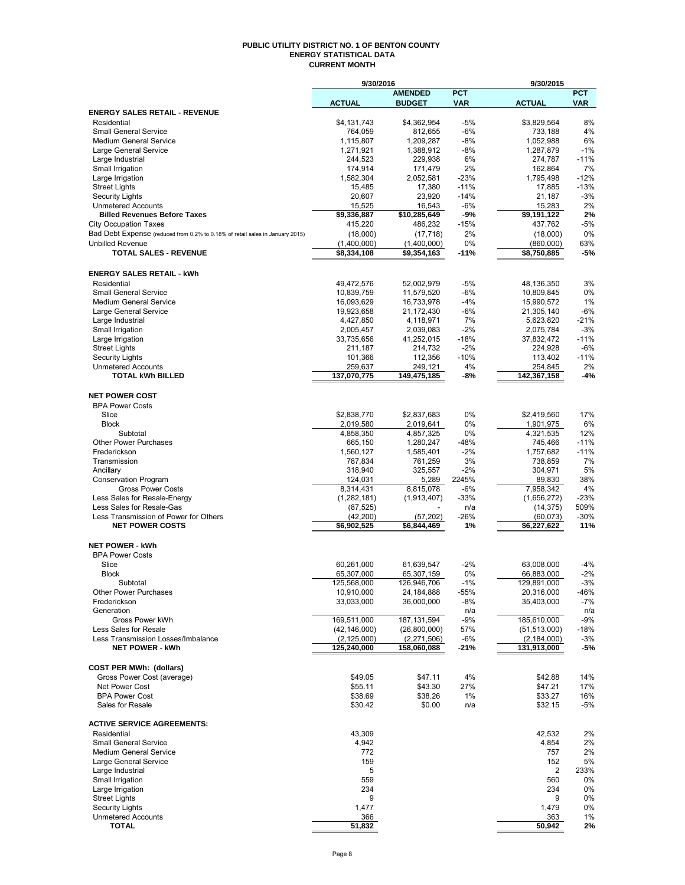## **PUBLIC UTILITY DISTRICT NO. 1 OF BENTON COUNTY ENERGY STATISTICAL DATA CURRENT MONTH**

|                                                                               | 9/30/2016                       |                             |                | 9/30/2015                       |               |
|-------------------------------------------------------------------------------|---------------------------------|-----------------------------|----------------|---------------------------------|---------------|
|                                                                               |                                 | <b>AMENDED</b>              | <b>PCT</b>     |                                 | <b>PCT</b>    |
|                                                                               | <b>ACTUAL</b>                   | <b>BUDGET</b>               | <b>VAR</b>     | <b>ACTUAL</b>                   | <b>VAR</b>    |
| <b>ENERGY SALES RETAIL - REVENUE</b>                                          |                                 |                             |                |                                 |               |
| Residential                                                                   | \$4,131,743                     | \$4,362,954                 | $-5%$          | \$3,829,564                     | 8%            |
| <b>Small General Service</b><br><b>Medium General Service</b>                 | 764,059                         | 812,655                     | $-6%$          | 733,188                         | 4%<br>6%      |
| Large General Service                                                         | 1,115,807<br>1,271,921          | 1,209,287<br>1,388,912      | $-8%$<br>$-8%$ | 1,052,988<br>1,287,879          | $-1%$         |
| Large Industrial                                                              | 244.523                         | 229,938                     | 6%             | 274,787                         | $-11%$        |
| Small Irrigation                                                              | 174,914                         | 171,479                     | 2%             | 162,864                         | 7%            |
| Large Irrigation                                                              | 1,582,304                       | 2,052,581                   | $-23%$         | 1,795,498                       | $-12%$        |
| <b>Street Lights</b>                                                          | 15,485                          | 17,380                      | $-11%$         | 17,885                          | $-13%$        |
| <b>Security Lights</b>                                                        | 20,607                          | 23,920                      | $-14%$         | 21,187                          | $-3%$         |
| <b>Unmetered Accounts</b>                                                     | 15,525                          | 16,543                      | $-6%$          | 15,283                          | 2%            |
| <b>Billed Revenues Before Taxes</b>                                           | \$9,336,887                     | \$10,285,649                | -9%            | \$9,191,122                     | 2%            |
| <b>City Occupation Taxes</b>                                                  | 415,220                         | 486,232                     | $-15%$         | 437,762                         | $-5%$         |
| Bad Debt Expense (reduced from 0.2% to 0.18% of retail sales in January 2015) | (18,000)                        | (17, 718)                   | 2%             | (18,000)                        | 0%            |
| <b>Unbilled Revenue</b>                                                       | (1,400,000)                     | (1,400,000)                 | 0%             | (860,000)                       | 63%           |
| <b>TOTAL SALES - REVENUE</b>                                                  | \$8,334,108                     | \$9,354,163                 | $-11%$         | \$8,750,885                     | $-5%$         |
|                                                                               |                                 |                             |                |                                 |               |
| <b>ENERGY SALES RETAIL - kWh</b>                                              |                                 |                             |                |                                 |               |
| Residential                                                                   | 49,472,576                      | 52,002,979                  | $-5%$          | 48,136,350                      | 3%            |
| Small General Service                                                         | 10,839,759                      | 11,579,520                  | $-6%$          | 10,809,845                      | 0%            |
| <b>Medium General Service</b>                                                 | 16,093,629                      | 16,733,978                  | $-4%$          | 15,990,572                      | 1%            |
| Large General Service                                                         | 19,923,658                      | 21,172,430                  | $-6%$          | 21,305,140                      | $-6%$         |
| Large Industrial                                                              | 4,427,850                       | 4,118,971                   | 7%             | 5,623,820                       | $-21%$        |
| Small Irrigation                                                              | 2,005,457                       | 2,039,083                   | $-2%$          | 2,075,784                       | $-3%$         |
| Large Irrigation                                                              | 33,735,656                      | 41,252,015                  | $-18%$         | 37,832,472                      | $-11%$        |
| <b>Street Lights</b>                                                          | 211,187                         | 214,732                     | $-2%$          | 224,928                         | $-6%$         |
| <b>Security Lights</b>                                                        | 101,366                         | 112,356                     | $-10%$         | 113.402                         | $-11%$        |
| <b>Unmetered Accounts</b>                                                     | 259,637                         | 249,121                     | 4%             | 254,845                         | 2%            |
| <b>TOTAL kWh BILLED</b>                                                       | 137,070,775                     | 149,475,185                 | -8%            | 142,367,158                     | $-4%$         |
|                                                                               |                                 |                             |                |                                 |               |
| <b>NET POWER COST</b>                                                         |                                 |                             |                |                                 |               |
| <b>BPA Power Costs</b>                                                        |                                 |                             |                |                                 |               |
| Slice                                                                         | \$2,838,770                     | \$2,837,683                 | 0%             | \$2,419,560                     | 17%           |
| <b>Block</b><br>Subtotal                                                      | 2,019,580                       | 2,019,641                   | 0%<br>0%       | 1,901,975<br>4,321,535          | 6%            |
| Other Power Purchases                                                         | 4,858,350<br>665,150            | 4,857,325<br>1,280,247      | $-48%$         | 745,466                         | 12%<br>$-11%$ |
| Frederickson                                                                  | 1,560,127                       | 1,585,401                   | $-2%$          | 1,757,682                       | $-11%$        |
| Transmission                                                                  | 787,834                         | 761,259                     | 3%             | 738,859                         | 7%            |
| Ancillary                                                                     | 318,940                         | 325,557                     | $-2%$          | 304,971                         | 5%            |
| Conservation Program                                                          | 124,031                         | 5,289                       | 2245%          | 89,830                          | 38%           |
| <b>Gross Power Costs</b>                                                      | 8,314,431                       | 8,815,078                   | $-6%$          | 7,958,342                       | 4%            |
| Less Sales for Resale-Energy                                                  | (1, 282, 181)                   | (1,913,407)                 | $-33%$         | (1,656,272)                     | $-23%$        |
| Less Sales for Resale-Gas                                                     | (87, 525)                       |                             | n/a            | (14, 375)                       | 509%          |
| Less Transmission of Power for Others                                         | (42, 200)                       | (57, 202)                   | $-26%$         | (60, 073)                       | $-30%$        |
| <b>NET POWER COSTS</b>                                                        | \$6,902,525                     | \$6,844,469                 | 1%             | \$6,227,622                     | 11%           |
|                                                                               |                                 |                             |                |                                 |               |
| <b>NET POWER - kWh</b>                                                        |                                 |                             |                |                                 |               |
| <b>BPA Power Costs</b>                                                        |                                 |                             |                |                                 |               |
| Slice                                                                         | 60,261,000                      | 61,639,547                  | $-2%$          | 63,008,000                      | $-4%$         |
| <b>Block</b>                                                                  | 65,307,000                      | 65,307,159                  | 0%             | 66,883,000                      | $-2%$         |
| Subtotal                                                                      | 125,568,000                     | 126,946,706                 | $-1\%$         | 129,891,000                     | $-3%$         |
| Other Power Purchases                                                         | 10,910,000                      | 24,184,888                  | -55%           | 20,316,000                      | -46%          |
| Frederickson                                                                  | 33,033,000                      | 36,000,000                  | $-8%$          | 35,403,000                      | $-7%$         |
| Generation                                                                    |                                 |                             | n/a            |                                 | n/a           |
| Gross Power kWh<br>Less Sales for Resale                                      | 169,511,000                     | 187, 131, 594               | $-9%$          | 185,610,000                     | $-9%$         |
| Less Transmission Losses/Imbalance                                            | (42, 146, 000)<br>(2, 125, 000) | (26,800,000)<br>(2,271,506) | 57%<br>-6%     | (51, 513, 000)<br>(2, 184, 000) | -18%<br>$-3%$ |
| <b>NET POWER - kWh</b>                                                        | 125,240,000                     | 158,060,088                 | -21%           | 131,913,000                     | -5%           |
|                                                                               |                                 |                             |                |                                 |               |
| <b>COST PER MWh: (dollars)</b>                                                |                                 |                             |                |                                 |               |
| Gross Power Cost (average)                                                    | \$49.05                         | \$47.11                     | 4%             | \$42.88                         | 14%           |
| Net Power Cost                                                                | \$55.11                         | \$43.30                     | 27%            | \$47.21                         | 17%           |
| <b>BPA Power Cost</b>                                                         | \$38.69                         | \$38.26                     | 1%             | \$33.27                         | 16%           |
| Sales for Resale                                                              | \$30.42                         | \$0.00                      | n/a            | \$32.15                         | -5%           |
|                                                                               |                                 |                             |                |                                 |               |
| <b>ACTIVE SERVICE AGREEMENTS:</b>                                             |                                 |                             |                |                                 |               |
| Residential                                                                   | 43,309                          |                             |                | 42,532                          | 2%            |
| <b>Small General Service</b>                                                  | 4,942                           |                             |                | 4,854                           | 2%            |
| <b>Medium General Service</b>                                                 | 772                             |                             |                | 757                             | 2%            |
| Large General Service                                                         | 159                             |                             |                | 152                             | 5%            |
| Large Industrial                                                              | 5                               |                             |                | 2                               | 233%          |
| Small Irrigation                                                              | 559                             |                             |                | 560                             | 0%            |
| Large Irrigation                                                              | 234                             |                             |                | 234                             | 0%            |
| <b>Street Lights</b>                                                          | 9                               |                             |                | 9                               | 0%            |
| <b>Security Lights</b>                                                        | 1,477                           |                             |                | 1,479                           | 0%            |
| <b>Unmetered Accounts</b>                                                     | 366                             |                             |                | 363                             | 1%            |
| <b>TOTAL</b>                                                                  | 51,832                          |                             |                | 50,942                          | 2%            |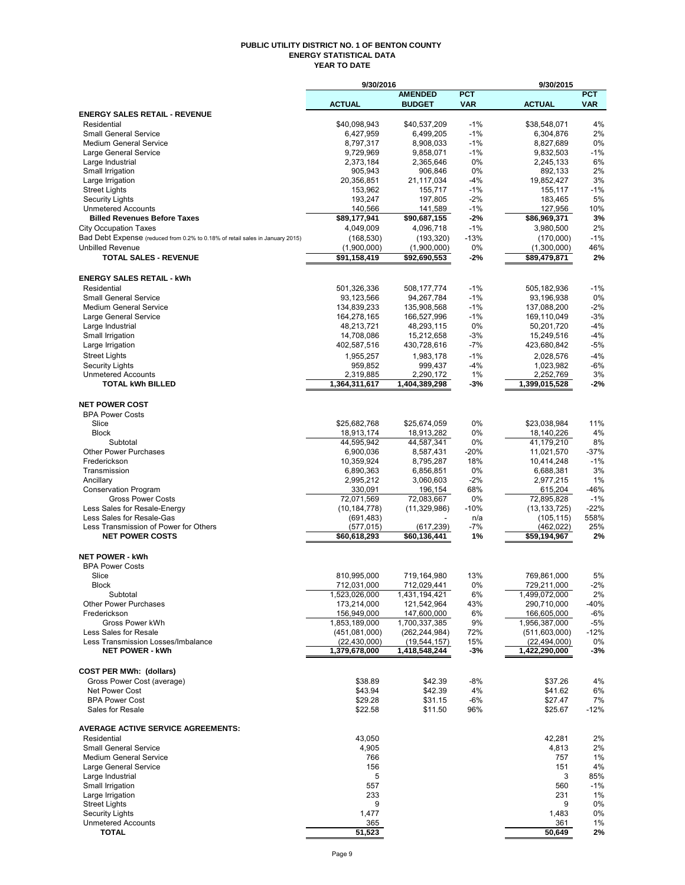#### **PUBLIC UTILITY DISTRICT NO. 1 OF BENTON COUNTY ENERGY STATISTICAL DATA YEAR TO DATE**

|                                                                               | 9/30/2016                       |                                   | 9/30/2015      |                                 |                |  |
|-------------------------------------------------------------------------------|---------------------------------|-----------------------------------|----------------|---------------------------------|----------------|--|
|                                                                               |                                 | <b>AMENDED</b>                    | <b>PCT</b>     |                                 | <b>PCT</b>     |  |
| <b>ENERGY SALES RETAIL - REVENUE</b>                                          | <b>ACTUAL</b>                   | <b>BUDGET</b>                     | <b>VAR</b>     | <b>ACTUAL</b>                   | <b>VAR</b>     |  |
| Residential                                                                   | \$40,098,943                    | \$40,537,209                      | $-1%$          | \$38,548,071                    | 4%             |  |
| <b>Small General Service</b>                                                  | 6,427,959                       | 6,499,205                         | $-1%$          | 6,304,876                       | 2%             |  |
| <b>Medium General Service</b>                                                 | 8,797,317                       | 8,908,033                         | $-1%$          | 8,827,689                       | 0%             |  |
| Large General Service                                                         | 9,729,969                       | 9,858,071                         | $-1%$          | 9,832,503                       | $-1%$          |  |
| Large Industrial                                                              | 2,373,184                       | 2,365,646                         | 0%             | 2,245,133                       | 6%             |  |
| Small Irrigation<br>Large Irrigation                                          | 905,943<br>20,356,851           | 906,846<br>21,117,034             | 0%<br>$-4%$    | 892,133<br>19,852,427           | 2%<br>3%       |  |
| <b>Street Lights</b>                                                          | 153,962                         | 155,717                           | $-1%$          | 155,117                         | $-1%$          |  |
| <b>Security Lights</b>                                                        | 193,247                         | 197,805                           | $-2%$          | 183,465                         | 5%             |  |
| <b>Unmetered Accounts</b>                                                     | 140,566                         | 141,589                           | $-1%$          | 127,956                         | 10%            |  |
| <b>Billed Revenues Before Taxes</b>                                           | \$89,177,941                    | \$90,687,155                      | $-2%$          | \$86,969,371                    | 3%             |  |
| <b>City Occupation Taxes</b>                                                  | 4,049,009                       | 4,096,718                         | $-1%$          | 3,980,500                       | 2%             |  |
| Bad Debt Expense (reduced from 0.2% to 0.18% of retail sales in January 2015) | (168, 530)                      | (193, 320)                        | $-13%$         | (170,000)                       | $-1%$          |  |
| <b>Unbilled Revenue</b><br><b>TOTAL SALES - REVENUE</b>                       | (1,900,000)<br>\$91,158,419     | (1,900,000)<br>\$92,690,553       | 0%<br>-2%      | (1,300,000)<br>\$89,479,871     | 46%<br>2%      |  |
|                                                                               |                                 |                                   |                |                                 |                |  |
| <b>ENERGY SALES RETAIL - kWh</b>                                              |                                 |                                   |                |                                 |                |  |
| Residential                                                                   | 501,326,336                     | 508,177,774                       | $-1%$          | 505, 182, 936                   | $-1%$          |  |
| <b>Small General Service</b>                                                  | 93,123,566                      | 94,267,784                        | $-1%$          | 93,196,938                      | 0%             |  |
| <b>Medium General Service</b>                                                 | 134,839,233                     | 135,908,568                       | $-1%$          | 137,088,200                     | $-2%$          |  |
| Large General Service                                                         | 164,278,165                     | 166,527,996                       | $-1%$          | 169,110,049                     | $-3%$          |  |
| Large Industrial                                                              | 48,213,721                      | 48,293,115                        | 0%             | 50,201,720                      | $-4%$          |  |
| Small Irrigation<br>Large Irrigation                                          | 14,708,086<br>402,587,516       | 15,212,658<br>430,728,616         | $-3%$<br>$-7%$ | 15,249,516<br>423,680,842       | $-4%$<br>$-5%$ |  |
| <b>Street Lights</b>                                                          | 1,955,257                       | 1.983.178                         | $-1%$          | 2,028,576                       | $-4%$          |  |
| <b>Security Lights</b>                                                        | 959,852                         | 999,437                           | $-4%$          | 1,023,982                       | $-6%$          |  |
| <b>Unmetered Accounts</b>                                                     | 2,319,885                       | 2,290,172                         | 1%             | 2,252,769                       | 3%             |  |
| <b>TOTAL kWh BILLED</b>                                                       | 1,364,311,617                   | 1,404,389,298                     | -3%            | 1,399,015,528                   | $-2%$          |  |
|                                                                               |                                 |                                   |                |                                 |                |  |
| <b>NET POWER COST</b>                                                         |                                 |                                   |                |                                 |                |  |
| <b>BPA Power Costs</b><br>Slice                                               |                                 | \$25,674,059                      | 0%             |                                 | 11%            |  |
| <b>Block</b>                                                                  | \$25,682,768<br>18,913,174      | 18,913,282                        | 0%             | \$23,038,984<br>18,140,226      | 4%             |  |
| Subtotal                                                                      | 44,595,942                      | 44,587,341                        | 0%             | 41,179,210                      | 8%             |  |
| <b>Other Power Purchases</b>                                                  | 6,900,036                       | 8,587,431                         | $-20%$         | 11,021,570                      | $-37%$         |  |
| Frederickson                                                                  | 10,359,924                      | 8,795,287                         | 18%            | 10,414,248                      | $-1%$          |  |
| Transmission                                                                  | 6,890,363                       | 6,856,851                         | 0%             | 6,688,381                       | 3%             |  |
| Ancillary                                                                     | 2,995,212                       | 3,060,603                         | $-2%$          | 2,977,215                       | 1%             |  |
| <b>Conservation Program</b>                                                   | 330,091<br>72,071,569           | 196,154<br>72,083,667             | 68%            | 615,204<br>72,895,828           | -46%<br>$-1%$  |  |
| <b>Gross Power Costs</b><br>Less Sales for Resale-Energy                      | (10, 184, 778)                  | (11, 329, 986)                    | 0%<br>$-10%$   | (13, 133, 725)                  | $-22%$         |  |
| Less Sales for Resale-Gas                                                     | (691, 483)                      |                                   | n/a            | (105, 115)                      | 558%           |  |
| Less Transmission of Power for Others                                         | (577,015)                       | (617, 239)                        | $-7%$          | (462, 022)                      | 25%            |  |
| <b>NET POWER COSTS</b>                                                        | \$60,618,293                    | \$60,136,441                      | 1%             | \$59,194,967                    | 2%             |  |
|                                                                               |                                 |                                   |                |                                 |                |  |
| <b>NET POWER - kWh</b><br><b>BPA Power Costs</b>                              |                                 |                                   |                |                                 |                |  |
| Slice                                                                         | 810.995.000                     | 719.164.980                       | 13%            | 769,861,000                     | 5%             |  |
| <b>Block</b>                                                                  | 712,031,000                     | 712,029,441                       | 0%             | 729,211,000                     | $-2%$          |  |
| Subtotal                                                                      | 1,523,026,000                   | 1,431,194,421                     | 6%             | 1,499,072,000                   | 2%             |  |
| <b>Other Power Purchases</b>                                                  | 173,214,000                     | 121,542,964                       | 43%            | 290,710,000                     | -40%           |  |
| Frederickson                                                                  | 156,949,000                     | 147,600,000                       | 6%             | 166,605,000                     | $-6%$          |  |
| Gross Power kWh                                                               | 1,853,189,000                   | 1,700,337,385                     | 9%             | 1,956,387,000                   | $-5%$          |  |
| Less Sales for Resale<br>Less Transmission Losses/Imbalance                   | (451,081,000)<br>(22, 430, 000) | (262, 244, 984)<br>(19, 544, 157) | 72%<br>15%     | (511,603,000)<br>(22, 494, 000) | $-12%$<br>0%   |  |
| <b>NET POWER - kWh</b>                                                        | 1,379,678,000                   | 1,418,548,244                     | $-3%$          | 1,422,290,000                   | $-3%$          |  |
|                                                                               |                                 |                                   |                |                                 |                |  |
| <b>COST PER MWh: (dollars)</b>                                                |                                 |                                   |                |                                 |                |  |
| Gross Power Cost (average)                                                    | \$38.89                         | \$42.39                           | $-8%$          | \$37.26                         | 4%             |  |
| <b>Net Power Cost</b>                                                         | \$43.94                         | \$42.39                           | 4%             | \$41.62                         | 6%             |  |
| <b>BPA Power Cost</b><br>Sales for Resale                                     | \$29.28<br>\$22.58              | \$31.15<br>\$11.50                | $-6%$<br>96%   | \$27.47<br>\$25.67              | 7%<br>$-12%$   |  |
|                                                                               |                                 |                                   |                |                                 |                |  |
| <b>AVERAGE ACTIVE SERVICE AGREEMENTS:</b>                                     |                                 |                                   |                |                                 |                |  |
| Residential                                                                   | 43,050                          |                                   |                | 42,281                          | 2%             |  |
| <b>Small General Service</b>                                                  | 4,905                           |                                   |                | 4,813                           | 2%             |  |
| <b>Medium General Service</b>                                                 | 766                             |                                   |                | 757                             | 1%             |  |
| Large General Service                                                         | 156                             |                                   |                | 151                             | 4%             |  |
| Large Industrial<br>Small Irrigation                                          | 5<br>557                        |                                   |                | 3<br>560                        | 85%<br>$-1%$   |  |
| Large Irrigation                                                              | 233                             |                                   |                | 231                             | 1%             |  |
| <b>Street Lights</b>                                                          | 9                               |                                   |                | 9                               | 0%             |  |
| <b>Security Lights</b>                                                        | 1,477                           |                                   |                | 1,483                           | 0%             |  |
| <b>Unmetered Accounts</b>                                                     | 365                             |                                   |                | 361                             | 1%             |  |
| <b>TOTAL</b>                                                                  | 51,523                          |                                   |                | 50,649                          | 2%             |  |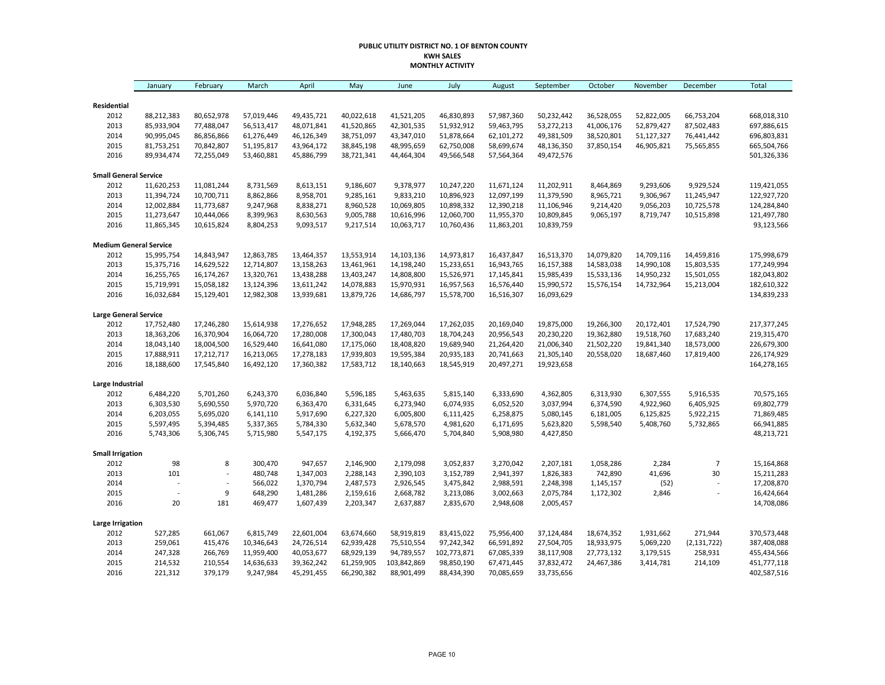### **PUBLIC UTILITY DISTRICT NO. 1 OF BENTON COUNTY KWH SALES MONTHLY ACTIVITY**

|                               | January        | February       | March      | April      | May        | June        | July        | August     | September  | October    | November   | December       | <b>Total</b> |
|-------------------------------|----------------|----------------|------------|------------|------------|-------------|-------------|------------|------------|------------|------------|----------------|--------------|
| Residential                   |                |                |            |            |            |             |             |            |            |            |            |                |              |
| 2012                          | 88,212,383     | 80,652,978     | 57,019,446 | 49,435,721 | 40,022,618 | 41,521,205  | 46,830,893  | 57,987,360 | 50,232,442 | 36,528,055 | 52,822,005 | 66,753,204     | 668,018,310  |
| 2013                          | 85,933,904     | 77,488,047     | 56,513,417 | 48,071,841 | 41,520,865 | 42,301,535  | 51,932,912  | 59,463,795 | 53,272,213 | 41,006,176 | 52,879,427 | 87,502,483     | 697,886,615  |
| 2014                          | 90,995,045     | 86,856,866     | 61,276,449 | 46,126,349 | 38,751,097 | 43,347,010  | 51,878,664  | 62,101,272 | 49,381,509 | 38,520,801 | 51,127,327 | 76,441,442     | 696,803,831  |
| 2015                          | 81,753,251     | 70,842,807     | 51,195,817 | 43,964,172 | 38,845,198 | 48,995,659  | 62,750,008  | 58,699,674 | 48,136,350 | 37,850,154 | 46,905,821 | 75,565,855     | 665,504,766  |
| 2016                          | 89,934,474     | 72,255,049     | 53,460,881 | 45,886,799 | 38,721,341 | 44,464,304  | 49,566,548  | 57,564,364 | 49,472,576 |            |            |                | 501,326,336  |
| <b>Small General Service</b>  |                |                |            |            |            |             |             |            |            |            |            |                |              |
| 2012                          | 11,620,253     | 11,081,244     | 8,731,569  | 8,613,151  | 9,186,607  | 9,378,977   | 10,247,220  | 11,671,124 | 11,202,911 | 8,464,869  | 9,293,606  | 9,929,524      | 119,421,055  |
| 2013                          | 11,394,724     | 10,700,711     | 8,862,866  | 8,958,701  | 9,285,161  | 9,833,210   | 10,896,923  | 12,097,199 | 11,379,590 | 8,965,721  | 9,306,967  | 11,245,947     | 122,927,720  |
| 2014                          | 12,002,884     | 11,773,687     | 9,247,968  | 8,838,271  | 8,960,528  | 10,069,805  | 10,898,332  | 12,390,218 | 11,106,946 | 9,214,420  | 9,056,203  | 10,725,578     | 124,284,840  |
| 2015                          | 11,273,647     | 10,444,066     | 8,399,963  | 8,630,563  | 9,005,788  | 10,616,996  | 12,060,700  | 11,955,370 | 10,809,845 | 9,065,197  | 8,719,747  | 10,515,898     | 121,497,780  |
| 2016                          | 11,865,345     | 10,615,824     | 8,804,253  | 9,093,517  | 9,217,514  | 10,063,717  | 10,760,436  | 11,863,201 | 10,839,759 |            |            |                | 93,123,566   |
| <b>Medium General Service</b> |                |                |            |            |            |             |             |            |            |            |            |                |              |
| 2012                          | 15,995,754     | 14,843,947     | 12,863,785 | 13,464,357 | 13,553,914 | 14,103,136  | 14,973,817  | 16,437,847 | 16,513,370 | 14,079,820 | 14,709,116 | 14,459,816     | 175,998,679  |
| 2013                          | 15,375,716     | 14,629,522     | 12,714,807 | 13,158,263 | 13,461,961 | 14,198,240  | 15,233,651  | 16,943,765 | 16,157,388 | 14,583,038 | 14,990,108 | 15,803,535     | 177,249,994  |
| 2014                          | 16,255,765     | 16,174,267     | 13,320,761 | 13,438,288 | 13,403,247 | 14,808,800  | 15,526,971  | 17,145,841 | 15,985,439 | 15,533,136 | 14,950,232 | 15,501,055     | 182,043,802  |
| 2015                          | 15,719,991     | 15,058,182     | 13,124,396 | 13,611,242 | 14,078,883 | 15,970,931  | 16,957,563  | 16,576,440 | 15,990,572 | 15,576,154 | 14,732,964 | 15,213,004     | 182,610,322  |
| 2016                          | 16,032,684     | 15,129,401     | 12,982,308 | 13,939,681 | 13,879,726 | 14,686,797  | 15,578,700  | 16,516,307 | 16,093,629 |            |            |                | 134,839,233  |
| <b>Large General Service</b>  |                |                |            |            |            |             |             |            |            |            |            |                |              |
| 2012                          | 17,752,480     | 17,246,280     | 15,614,938 | 17,276,652 | 17,948,285 | 17,269,044  | 17,262,035  | 20,169,040 | 19,875,000 | 19,266,300 | 20,172,401 | 17,524,790     | 217,377,245  |
| 2013                          | 18,363,206     | 16,370,904     | 16,064,720 | 17,280,008 | 17,300,043 | 17,480,703  | 18,704,243  | 20,956,543 | 20,230,220 | 19,362,880 | 19,518,760 | 17,683,240     | 219,315,470  |
| 2014                          | 18,043,140     | 18,004,500     | 16,529,440 | 16,641,080 | 17,175,060 | 18,408,820  | 19,689,940  | 21,264,420 | 21,006,340 | 21,502,220 | 19,841,340 | 18,573,000     | 226,679,300  |
| 2015                          | 17,888,911     | 17,212,717     | 16,213,065 | 17,278,183 | 17,939,803 | 19,595,384  | 20,935,183  | 20,741,663 | 21,305,140 | 20,558,020 | 18,687,460 | 17,819,400     | 226,174,929  |
| 2016                          | 18,188,600     | 17,545,840     | 16,492,120 | 17,360,382 | 17,583,712 | 18,140,663  | 18,545,919  | 20,497,271 | 19,923,658 |            |            |                | 164,278,165  |
| Large Industrial              |                |                |            |            |            |             |             |            |            |            |            |                |              |
| 2012                          | 6,484,220      | 5,701,260      | 6,243,370  | 6,036,840  | 5,596,185  | 5,463,635   | 5,815,140   | 6,333,690  | 4,362,805  | 6,313,930  | 6,307,555  | 5,916,535      | 70,575,165   |
| 2013                          | 6,303,530      | 5,690,550      | 5,970,720  | 6,363,470  | 6,331,645  | 6,273,940   | 6,074,935   | 6,052,520  | 3,037,994  | 6,374,590  | 4,922,960  | 6,405,925      | 69,802,779   |
| 2014                          | 6,203,055      | 5,695,020      | 6,141,110  | 5,917,690  | 6,227,320  | 6,005,800   | 6,111,425   | 6,258,875  | 5,080,145  | 6,181,005  | 6,125,825  | 5,922,215      | 71,869,485   |
| 2015                          | 5,597,495      | 5,394,485      | 5,337,365  | 5,784,330  | 5,632,340  | 5,678,570   | 4,981,620   | 6,171,695  | 5,623,820  | 5,598,540  | 5,408,760  | 5,732,865      | 66,941,885   |
| 2016                          | 5,743,306      | 5,306,745      | 5,715,980  | 5,547,175  | 4,192,375  | 5,666,470   | 5,704,840   | 5,908,980  | 4,427,850  |            |            |                | 48,213,721   |
| <b>Small Irrigation</b>       |                |                |            |            |            |             |             |            |            |            |            |                |              |
| 2012                          | 98             | 8              | 300,470    | 947,657    | 2,146,900  | 2,179,098   | 3,052,837   | 3,270,042  | 2,207,181  | 1,058,286  | 2,284      | $\overline{7}$ | 15,164,868   |
| 2013                          | 101            | $\overline{a}$ | 480,748    | 1,347,003  | 2,288,143  | 2,390,103   | 3,152,789   | 2,941,397  | 1,826,383  | 742,890    | 41,696     | 30             | 15,211,283   |
| 2014                          | $\overline{a}$ | $\overline{a}$ | 566,022    | 1,370,794  | 2,487,573  | 2,926,545   | 3,475,842   | 2,988,591  | 2,248,398  | 1,145,157  | (52)       | L,             | 17,208,870   |
| 2015                          |                | 9              | 648,290    | 1,481,286  | 2,159,616  | 2,668,782   | 3,213,086   | 3,002,663  | 2,075,784  | 1,172,302  | 2,846      | $\overline{a}$ | 16,424,664   |
| 2016                          | 20             | 181            | 469,477    | 1,607,439  | 2,203,347  | 2,637,887   | 2,835,670   | 2,948,608  | 2,005,457  |            |            |                | 14,708,086   |
| <b>Large Irrigation</b>       |                |                |            |            |            |             |             |            |            |            |            |                |              |
| 2012                          | 527,285        | 661,067        | 6,815,749  | 22,601,004 | 63,674,660 | 58,919,819  | 83,415,022  | 75,956,400 | 37,124,484 | 18,674,352 | 1,931,662  | 271,944        | 370,573,448  |
| 2013                          | 259,061        | 415,476        | 10,346,643 | 24,726,514 | 62,939,428 | 75,510,554  | 97,242,342  | 66,591,892 | 27,504,705 | 18,933,975 | 5,069,220  | (2, 131, 722)  | 387,408,088  |
| 2014                          | 247,328        | 266,769        | 11,959,400 | 40,053,677 | 68,929,139 | 94,789,557  | 102,773,871 | 67,085,339 | 38,117,908 | 27,773,132 | 3,179,515  | 258,931        | 455,434,566  |
| 2015                          | 214,532        | 210,554        | 14,636,633 | 39,362,242 | 61,259,905 | 103,842,869 | 98,850,190  | 67,471,445 | 37,832,472 | 24,467,386 | 3,414,781  | 214,109        | 451,777,118  |
| 2016                          | 221,312        | 379,179        | 9,247,984  | 45,291,455 | 66,290,382 | 88,901,499  | 88,434,390  | 70,085,659 | 33,735,656 |            |            |                | 402,587,516  |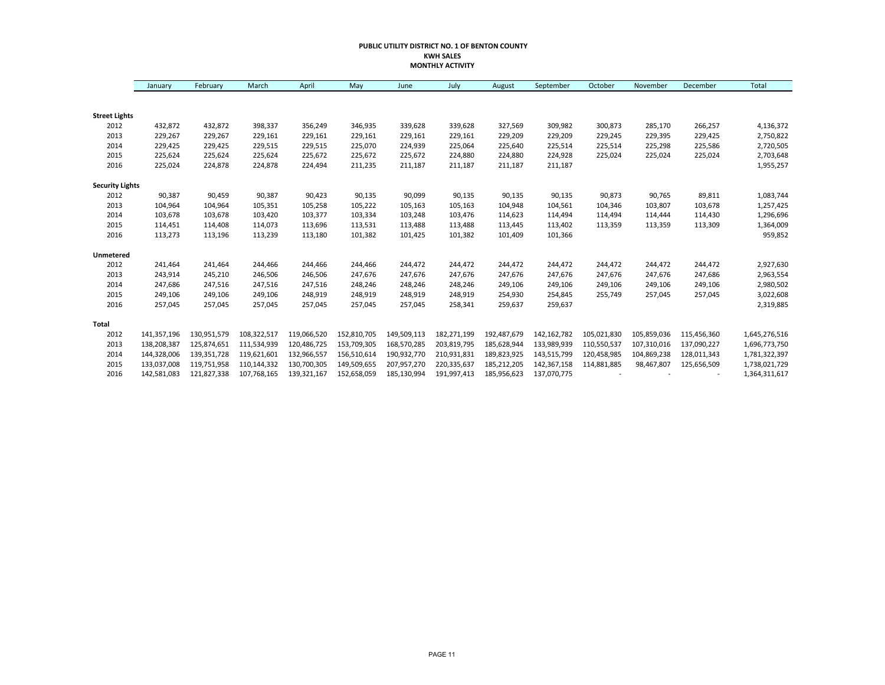### **PUBLIC UTILITY DISTRICT NO. 1 OF BENTON COUNTY KWH SALES MONTHLY ACTIVITY**

|                        | January     | February    | March       | April       | May         | June        | July        | August      | September   | October     | November    | December    | Total         |
|------------------------|-------------|-------------|-------------|-------------|-------------|-------------|-------------|-------------|-------------|-------------|-------------|-------------|---------------|
|                        |             |             |             |             |             |             |             |             |             |             |             |             |               |
| <b>Street Lights</b>   |             |             |             |             |             |             |             |             |             |             |             |             |               |
| 2012                   | 432,872     | 432,872     | 398,337     | 356,249     | 346,935     | 339,628     | 339,628     | 327,569     | 309,982     | 300,873     | 285,170     | 266,257     | 4,136,372     |
| 2013                   | 229,267     | 229,267     | 229,161     | 229,161     | 229,161     | 229,161     | 229,161     | 229,209     | 229,209     | 229,245     | 229,395     | 229,425     | 2,750,822     |
| 2014                   | 229,425     | 229,425     | 229,515     | 229,515     | 225,070     | 224,939     | 225,064     | 225,640     | 225,514     | 225,514     | 225,298     | 225,586     | 2,720,505     |
| 2015                   | 225,624     | 225,624     | 225,624     | 225,672     | 225,672     | 225,672     | 224,880     | 224,880     | 224,928     | 225,024     | 225,024     | 225,024     | 2,703,648     |
| 2016                   | 225,024     | 224,878     | 224,878     | 224,494     | 211,235     | 211,187     | 211,187     | 211,187     | 211,187     |             |             |             | 1,955,257     |
| <b>Security Lights</b> |             |             |             |             |             |             |             |             |             |             |             |             |               |
| 2012                   | 90,387      | 90,459      | 90,387      | 90,423      | 90,135      | 90,099      | 90,135      | 90,135      | 90,135      | 90,873      | 90,765      | 89,811      | 1,083,744     |
| 2013                   | 104,964     | 104,964     | 105,351     | 105,258     | 105,222     | 105,163     | 105,163     | 104,948     | 104,561     | 104,346     | 103,807     | 103,678     | 1,257,425     |
| 2014                   | 103,678     | 103,678     | 103,420     | 103,377     | 103,334     | 103,248     | 103,476     | 114,623     | 114,494     | 114,494     | 114,444     | 114,430     | 1,296,696     |
| 2015                   | 114,451     | 114,408     | 114,073     | 113,696     | 113,531     | 113,488     | 113,488     | 113,445     | 113,402     | 113,359     | 113,359     | 113,309     | 1,364,009     |
| 2016                   | 113,273     | 113,196     | 113,239     | 113,180     | 101,382     | 101,425     | 101,382     | 101,409     | 101,366     |             |             |             | 959,852       |
| Unmetered              |             |             |             |             |             |             |             |             |             |             |             |             |               |
| 2012                   | 241,464     | 241,464     | 244,466     | 244,466     | 244,466     | 244,472     | 244,472     | 244,472     | 244,472     | 244,472     | 244,472     | 244,472     | 2,927,630     |
| 2013                   | 243,914     | 245,210     | 246,506     | 246,506     | 247,676     | 247,676     | 247,676     | 247,676     | 247,676     | 247,676     | 247,676     | 247,686     | 2,963,554     |
| 2014                   | 247,686     | 247,516     | 247,516     | 247,516     | 248,246     | 248,246     | 248,246     | 249,106     | 249,106     | 249,106     | 249,106     | 249,106     | 2,980,502     |
| 2015                   | 249,106     | 249,106     | 249,106     | 248,919     | 248,919     | 248,919     | 248,919     | 254,930     | 254,845     | 255,749     | 257,045     | 257,045     | 3,022,608     |
| 2016                   | 257,045     | 257,045     | 257,045     | 257,045     | 257,045     | 257,045     | 258,341     | 259,637     | 259,637     |             |             |             | 2,319,885     |
| Total                  |             |             |             |             |             |             |             |             |             |             |             |             |               |
| 2012                   | 141,357,196 | 130,951,579 | 108,322,517 | 119,066,520 | 152,810,705 | 149,509,113 | 182,271,199 | 192,487,679 | 142,162,782 | 105,021,830 | 105,859,036 | 115,456,360 | 1,645,276,516 |
| 2013                   | 138,208,387 | 125,874,651 | 111,534,939 | 120,486,725 | 153,709,305 | 168,570,285 | 203,819,795 | 185,628,944 | 133,989,939 | 110,550,537 | 107,310,016 | 137,090,227 | 1,696,773,750 |
| 2014                   | 144,328,006 | 139,351,728 | 119,621,601 | 132,966,557 | 156,510,614 | 190,932,770 | 210,931,831 | 189,823,925 | 143,515,799 | 120,458,985 | 104,869,238 | 128,011,343 | 1,781,322,397 |
| 2015                   | 133,037,008 | 119,751,958 | 110,144,332 | 130,700,305 | 149,509,655 | 207,957,270 | 220,335,637 | 185,212,205 | 142,367,158 | 114,881,885 | 98,467,807  | 125,656,509 | 1,738,021,729 |
| 2016                   | 142,581,083 | 121,827,338 | 107,768,165 | 139,321,167 | 152,658,059 | 185,130,994 | 191,997,413 | 185,956,623 | 137,070,775 |             |             |             | 1,364,311,617 |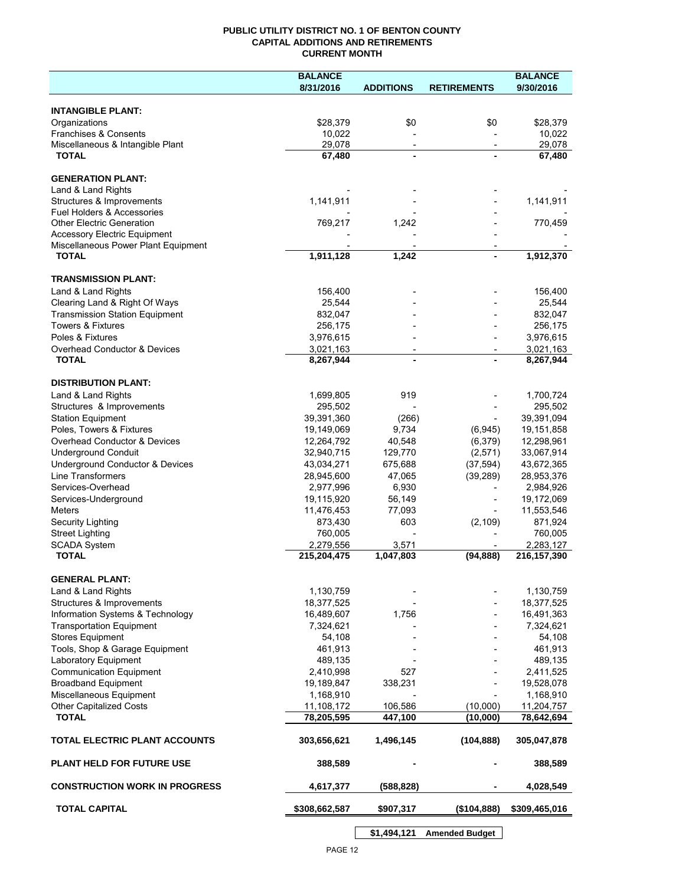## **PUBLIC UTILITY DISTRICT NO. 1 OF BENTON COUNTY CAPITAL ADDITIONS AND RETIREMENTS CURRENT MONTH**

|                                                              | <b>BALANCE</b>           |                          |                          | <b>BALANCE</b>           |
|--------------------------------------------------------------|--------------------------|--------------------------|--------------------------|--------------------------|
|                                                              | 8/31/2016                | <b>ADDITIONS</b>         | <b>RETIREMENTS</b>       | 9/30/2016                |
| <b>INTANGIBLE PLANT:</b>                                     |                          |                          |                          |                          |
| Organizations                                                | \$28,379                 | \$0                      | \$0                      | \$28,379                 |
| Franchises & Consents                                        | 10,022                   |                          |                          | 10,022                   |
| Miscellaneous & Intangible Plant                             | 29,078                   | $\overline{\phantom{a}}$ | $\overline{\phantom{a}}$ | 29,078                   |
| <b>TOTAL</b>                                                 | 67,480                   | $\blacksquare$           |                          | 67,480                   |
| <b>GENERATION PLANT:</b>                                     |                          |                          |                          |                          |
| Land & Land Rights                                           |                          |                          |                          |                          |
| Structures & Improvements                                    | 1,141,911                |                          |                          | 1,141,911                |
| <b>Fuel Holders &amp; Accessories</b>                        |                          |                          |                          |                          |
| <b>Other Electric Generation</b>                             | 769,217                  | 1,242                    |                          | 770,459                  |
| <b>Accessory Electric Equipment</b>                          |                          |                          |                          |                          |
| Miscellaneous Power Plant Equipment<br><b>TOTAL</b>          | 1,911,128                | 1,242                    |                          | 1,912,370                |
|                                                              |                          |                          |                          |                          |
| <b>TRANSMISSION PLANT:</b>                                   |                          |                          |                          |                          |
| Land & Land Rights                                           | 156,400                  |                          |                          | 156,400                  |
| Clearing Land & Right Of Ways                                | 25,544                   |                          |                          | 25,544                   |
| <b>Transmission Station Equipment</b>                        | 832,047                  |                          |                          | 832,047                  |
| <b>Towers &amp; Fixtures</b>                                 | 256,175                  |                          |                          | 256,175                  |
| Poles & Fixtures                                             | 3,976,615                |                          |                          | 3,976,615                |
| Overhead Conductor & Devices                                 | 3,021,163                |                          |                          | 3,021,163                |
| <b>TOTAL</b>                                                 | 8,267,944                |                          |                          | 8,267,944                |
| <b>DISTRIBUTION PLANT:</b>                                   |                          |                          |                          |                          |
| Land & Land Rights                                           | 1,699,805                | 919                      |                          | 1,700,724                |
| Structures & Improvements                                    | 295,502                  |                          |                          | 295,502                  |
| <b>Station Equipment</b>                                     | 39,391,360               | (266)                    |                          | 39,391,094               |
| Poles, Towers & Fixtures                                     | 19,149,069               | 9,734                    | (6, 945)                 | 19,151,858               |
| Overhead Conductor & Devices                                 | 12,264,792               | 40,548                   | (6,379)                  | 12,298,961               |
| <b>Underground Conduit</b>                                   | 32,940,715               | 129,770                  | (2,571)                  | 33,067,914               |
| Underground Conductor & Devices                              | 43,034,271               | 675,688                  | (37, 594)                | 43,672,365               |
| <b>Line Transformers</b>                                     | 28,945,600               | 47,065                   | (39, 289)                | 28,953,376               |
| Services-Overhead                                            | 2,977,996                | 6,930                    |                          | 2,984,926                |
| Services-Underground                                         | 19,115,920               | 56,149                   |                          | 19,172,069               |
| Meters                                                       | 11,476,453               | 77,093                   |                          | 11,553,546               |
| Security Lighting                                            | 873,430                  | 603                      | (2, 109)                 | 871,924                  |
| <b>Street Lighting</b>                                       | 760,005                  |                          |                          | 760,005                  |
| <b>SCADA System</b><br><b>TOTAL</b>                          | 2,279,556<br>215,204,475 | 3,571<br>1,047,803       | (94, 888)                | 2,283,127<br>216,157,390 |
|                                                              |                          |                          |                          |                          |
| <b>GENERAL PLANT:</b>                                        |                          |                          |                          |                          |
| Land & Land Rights                                           | 1,130,759                |                          |                          | 1,130,759                |
| Structures & Improvements                                    | 18,377,525               |                          |                          | 18,377,525               |
| Information Systems & Technology                             | 16,489,607               | 1,756                    |                          | 16,491,363               |
| <b>Transportation Equipment</b>                              | 7,324,621                |                          |                          | 7,324,621                |
| <b>Stores Equipment</b>                                      | 54,108                   |                          |                          | 54,108                   |
| Tools, Shop & Garage Equipment                               | 461,913                  |                          |                          | 461,913                  |
| Laboratory Equipment                                         | 489,135                  |                          |                          | 489,135                  |
| <b>Communication Equipment</b><br><b>Broadband Equipment</b> | 2,410,998                | 527                      |                          | 2,411,525                |
| Miscellaneous Equipment                                      | 19,189,847<br>1,168,910  | 338,231                  |                          | 19,528,078               |
| <b>Other Capitalized Costs</b>                               | 11,108,172               | 106,586                  | (10,000)                 | 1,168,910<br>11,204,757  |
| <b>TOTAL</b>                                                 | 78,205,595               | 447,100                  | (10,000)                 | 78,642,694               |
|                                                              |                          |                          |                          |                          |
| <b>TOTAL ELECTRIC PLANT ACCOUNTS</b>                         | 303,656,621              | 1,496,145                | (104, 888)               | 305,047,878              |
| <b>PLANT HELD FOR FUTURE USE</b>                             | 388,589                  |                          |                          | 388,589                  |
| <b>CONSTRUCTION WORK IN PROGRESS</b>                         | 4,617,377                | (588, 828)               |                          | 4,028,549                |
| <b>TOTAL CAPITAL</b>                                         | \$308,662,587            | \$907,317                | (\$104,888)              | \$309,465,016            |
|                                                              |                          |                          |                          |                          |

**\$1,494,121 Amended Budget**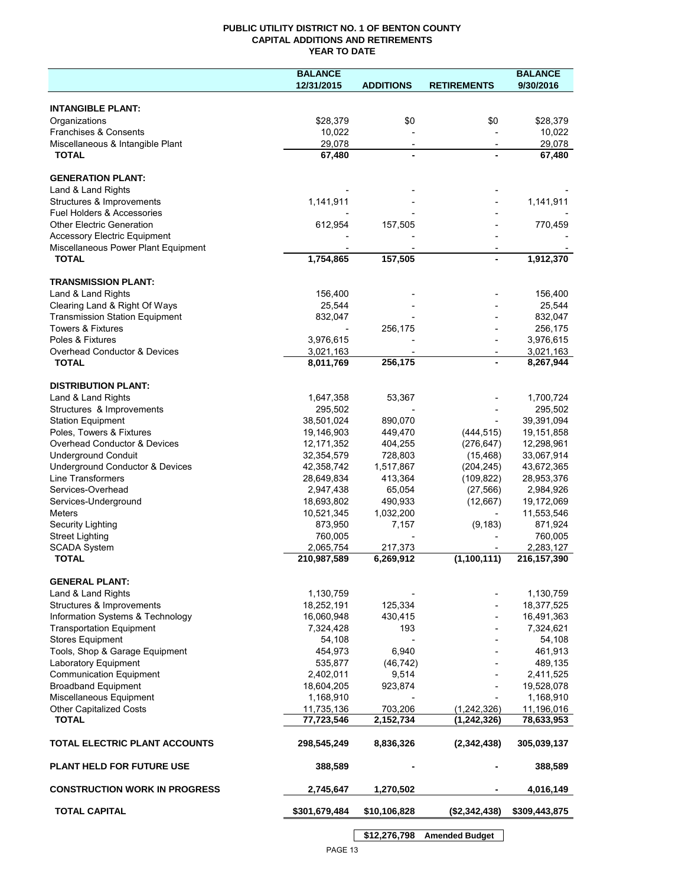## **PUBLIC UTILITY DISTRICT NO. 1 OF BENTON COUNTY CAPITAL ADDITIONS AND RETIREMENTS YEAR TO DATE**

|                                             | <b>BALANCE</b> |                  |                    | <b>BALANCE</b> |
|---------------------------------------------|----------------|------------------|--------------------|----------------|
|                                             | 12/31/2015     | <b>ADDITIONS</b> | <b>RETIREMENTS</b> | 9/30/2016      |
|                                             |                |                  |                    |                |
| <b>INTANGIBLE PLANT:</b>                    |                |                  |                    |                |
| Organizations                               | \$28,379       | \$0              | \$0                | \$28,379       |
| Franchises & Consents                       | 10,022         |                  |                    | 10,022         |
| Miscellaneous & Intangible Plant            | 29,078         |                  |                    | 29,078         |
| <b>TOTAL</b>                                | 67,480         |                  |                    | 67,480         |
| <b>GENERATION PLANT:</b>                    |                |                  |                    |                |
| Land & Land Rights                          |                |                  |                    |                |
| Structures & Improvements                   | 1,141,911      |                  |                    | 1,141,911      |
| Fuel Holders & Accessories                  |                |                  |                    |                |
| <b>Other Electric Generation</b>            | 612,954        | 157,505          |                    | 770,459        |
| <b>Accessory Electric Equipment</b>         |                |                  |                    |                |
| Miscellaneous Power Plant Equipment         |                |                  |                    |                |
| <b>TOTAL</b>                                | 1,754,865      | 157,505          |                    | 1,912,370      |
|                                             |                |                  |                    |                |
| <b>TRANSMISSION PLANT:</b>                  |                |                  |                    |                |
| Land & Land Rights                          | 156,400        |                  |                    | 156,400        |
| Clearing Land & Right Of Ways               | 25,544         |                  |                    | 25,544         |
| <b>Transmission Station Equipment</b>       | 832,047        |                  |                    | 832,047        |
| <b>Towers &amp; Fixtures</b>                |                | 256,175          |                    | 256,175        |
| Poles & Fixtures                            | 3,976,615      |                  |                    | 3,976,615      |
| Overhead Conductor & Devices                | 3,021,163      |                  |                    | 3,021,163      |
| <b>TOTAL</b>                                | 8,011,769      | 256,175          |                    | 8,267,944      |
| <b>DISTRIBUTION PLANT:</b>                  |                |                  |                    |                |
| Land & Land Rights                          | 1,647,358      | 53,367           |                    | 1,700,724      |
| Structures & Improvements                   | 295,502        |                  |                    | 295,502        |
| <b>Station Equipment</b>                    | 38,501,024     | 890,070          |                    | 39,391,094     |
| Poles, Towers & Fixtures                    | 19,146,903     | 449,470          | (444, 515)         | 19,151,858     |
| Overhead Conductor & Devices                | 12, 171, 352   | 404,255          | (276, 647)         | 12,298,961     |
| <b>Underground Conduit</b>                  | 32,354,579     | 728,803          | (15, 468)          | 33,067,914     |
| Underground Conductor & Devices             | 42,358,742     | 1,517,867        | (204, 245)         | 43,672,365     |
| <b>Line Transformers</b>                    | 28,649,834     | 413,364          | (109, 822)         | 28,953,376     |
| Services-Overhead                           | 2,947,438      | 65,054           | (27, 566)          | 2,984,926      |
| Services-Underground                        | 18,693,802     | 490,933          | (12,667)           | 19,172,069     |
| <b>Meters</b>                               | 10,521,345     | 1,032,200        |                    | 11,553,546     |
| Security Lighting                           | 873,950        | 7,157            | (9, 183)           | 871,924        |
| <b>Street Lighting</b>                      | 760,005        |                  |                    | 760,005        |
| <b>SCADA System</b>                         | 2,065,754      | 217,373          |                    | 2,283,127      |
| <b>TOTAL</b>                                | 210,987,589    | 6,269,912        | (1, 100, 111)      | 216, 157, 390  |
|                                             |                |                  |                    |                |
| <b>GENERAL PLANT:</b><br>Land & Land Rights | 1,130,759      |                  |                    | 1,130,759      |
| Structures & Improvements                   | 18,252,191     | 125,334          |                    | 18,377,525     |
| Information Systems & Technology            | 16,060,948     | 430,415          |                    | 16,491,363     |
| <b>Transportation Equipment</b>             | 7,324,428      | 193              |                    | 7,324,621      |
| <b>Stores Equipment</b>                     | 54,108         |                  |                    | 54,108         |
| Tools, Shop & Garage Equipment              | 454,973        | 6,940            |                    | 461,913        |
| Laboratory Equipment                        | 535,877        | (46, 742)        |                    | 489,135        |
| <b>Communication Equipment</b>              | 2,402,011      | 9,514            |                    | 2,411,525      |
| <b>Broadband Equipment</b>                  | 18,604,205     | 923,874          |                    | 19,528,078     |
| Miscellaneous Equipment                     | 1,168,910      |                  |                    | 1,168,910      |
| Other Capitalized Costs                     | 11,735,136     | 703,206          | (1,242,326)        | 11,196,016     |
| <b>TOTAL</b>                                | 77,723,546     | 2,152,734        | (1, 242, 326)      | 78,633,953     |
|                                             |                |                  |                    |                |
| TOTAL ELECTRIC PLANT ACCOUNTS               | 298,545,249    | 8,836,326        | (2,342,438)        | 305,039,137    |
|                                             |                |                  |                    |                |
| <b>PLANT HELD FOR FUTURE USE</b>            | 388,589        |                  |                    | 388,589        |
|                                             |                |                  |                    |                |
| <b>CONSTRUCTION WORK IN PROGRESS</b>        | 2,745,647      | 1,270,502        |                    | 4,016,149      |
| <b>TOTAL CAPITAL</b>                        |                |                  |                    |                |
|                                             | \$301,679,484  | \$10,106,828     | (\$2,342,438)      | \$309,443,875  |
|                                             |                |                  |                    |                |

PAGE 13

**\$12,276,798 Amended Budget**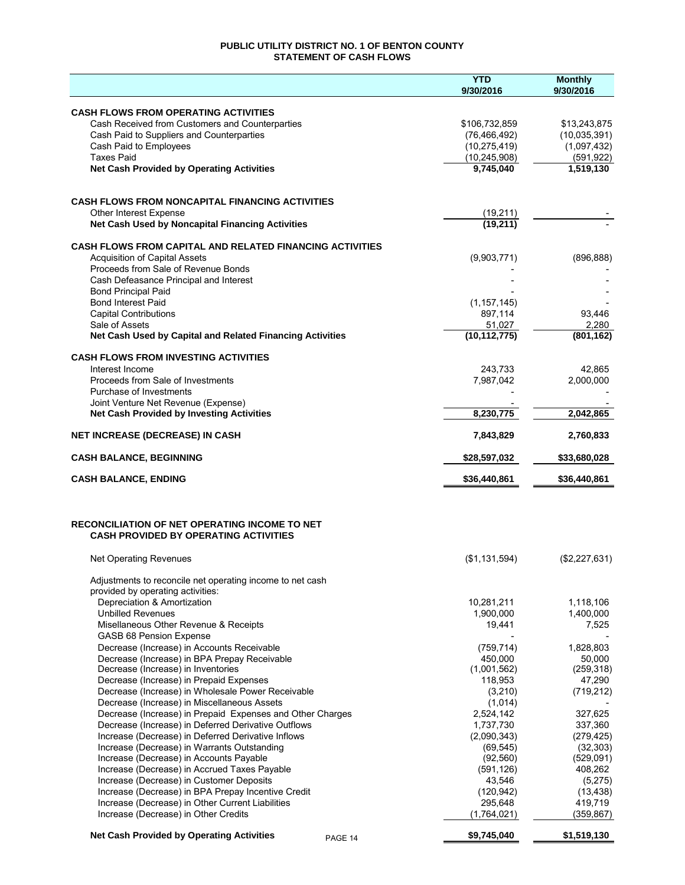## **PUBLIC UTILITY DISTRICT NO. 1 OF BENTON COUNTY STATEMENT OF CASH FLOWS**

|                                                                                                | <b>YTD</b>                  | <b>Monthly</b>          |
|------------------------------------------------------------------------------------------------|-----------------------------|-------------------------|
|                                                                                                | 9/30/2016                   | 9/30/2016               |
| <b>CASH FLOWS FROM OPERATING ACTIVITIES</b>                                                    |                             |                         |
| Cash Received from Customers and Counterparties                                                | \$106,732,859               | \$13,243,875            |
| Cash Paid to Suppliers and Counterparties                                                      | (76, 466, 492)              | (10,035,391)            |
| Cash Paid to Employees                                                                         | (10, 275, 419)              | (1,097,432)             |
| <b>Taxes Paid</b><br><b>Net Cash Provided by Operating Activities</b>                          | (10, 245, 908)<br>9,745,040 | (591, 922)<br>1,519,130 |
|                                                                                                |                             |                         |
|                                                                                                |                             |                         |
| <b>CASH FLOWS FROM NONCAPITAL FINANCING ACTIVITIES</b>                                         |                             |                         |
| Other Interest Expense<br>Net Cash Used by Noncapital Financing Activities                     | (19,211)<br>(19, 211)       |                         |
|                                                                                                |                             |                         |
| <b>CASH FLOWS FROM CAPITAL AND RELATED FINANCING ACTIVITIES</b>                                |                             |                         |
| <b>Acquisition of Capital Assets</b><br>Proceeds from Sale of Revenue Bonds                    | (9,903,771)                 | (896, 888)              |
| Cash Defeasance Principal and Interest                                                         |                             |                         |
| <b>Bond Principal Paid</b>                                                                     |                             |                         |
| <b>Bond Interest Paid</b>                                                                      | (1, 157, 145)               |                         |
| <b>Capital Contributions</b>                                                                   | 897,114                     | 93,446                  |
| Sale of Assets<br>Net Cash Used by Capital and Related Financing Activities                    | 51,027<br>(10, 112, 775)    | 2,280<br>(801, 162)     |
|                                                                                                |                             |                         |
| <b>CASH FLOWS FROM INVESTING ACTIVITIES</b>                                                    |                             |                         |
| Interest Income<br>Proceeds from Sale of Investments                                           | 243,733                     | 42,865                  |
| Purchase of Investments                                                                        | 7,987,042                   | 2,000,000               |
| Joint Venture Net Revenue (Expense)                                                            |                             |                         |
| <b>Net Cash Provided by Investing Activities</b>                                               | 8,230,775                   | 2,042,865               |
| <b>NET INCREASE (DECREASE) IN CASH</b>                                                         | 7,843,829                   | 2,760,833               |
| <b>CASH BALANCE, BEGINNING</b>                                                                 | \$28,597,032                | \$33,680,028            |
| <b>CASH BALANCE, ENDING</b>                                                                    | \$36,440,861                | \$36,440,861            |
|                                                                                                |                             |                         |
| <b>RECONCILIATION OF NET OPERATING INCOME TO NET</b>                                           |                             |                         |
| <b>CASH PROVIDED BY OPERATING ACTIVITIES</b>                                                   |                             |                         |
| <b>Net Operating Revenues</b>                                                                  | (\$1,131,594)               | (\$2,227,631)           |
|                                                                                                |                             |                         |
| Adjustments to reconcile net operating income to net cash                                      |                             |                         |
| provided by operating activities:                                                              |                             |                         |
| Depreciation & Amortization<br><b>Unbilled Revenues</b>                                        | 10,281,211<br>1,900,000     | 1,118,106<br>1,400,000  |
| Misellaneous Other Revenue & Receipts                                                          | 19,441                      | 7,525                   |
| <b>GASB 68 Pension Expense</b>                                                                 |                             |                         |
| Decrease (Increase) in Accounts Receivable                                                     | (759, 714)                  | 1,828,803               |
| Decrease (Increase) in BPA Prepay Receivable                                                   | 450,000                     | 50,000                  |
| Decrease (Increase) in Inventories                                                             | (1,001,562)<br>118,953      | (259, 318)<br>47,290    |
| Decrease (Increase) in Prepaid Expenses<br>Decrease (Increase) in Wholesale Power Receivable   | (3,210)                     | (719, 212)              |
| Decrease (Increase) in Miscellaneous Assets                                                    | (1,014)                     |                         |
| Decrease (Increase) in Prepaid Expenses and Other Charges                                      | 2,524,142                   | 327,625                 |
| Decrease (Increase) in Deferred Derivative Outflows                                            | 1,737,730                   | 337,360                 |
| Increase (Decrease) in Deferred Derivative Inflows                                             | (2,090,343)                 | (279, 425)              |
| Increase (Decrease) in Warrants Outstanding                                                    | (69, 545)                   | (32, 303)               |
| Increase (Decrease) in Accounts Payable                                                        | (92, 560)                   | (529,091)               |
| Increase (Decrease) in Accrued Taxes Payable                                                   | (591, 126)                  | 408,262                 |
| Increase (Decrease) in Customer Deposits<br>Increase (Decrease) in BPA Prepay Incentive Credit | 43,546<br>(120, 942)        | (5,275)<br>(13, 438)    |
| Increase (Decrease) in Other Current Liabilities                                               | 295,648                     | 419,719                 |
| Increase (Decrease) in Other Credits                                                           | (1,764,021)                 | (359, 867)              |
| <b>Net Cash Provided by Operating Activities</b><br>PAGE 14                                    | \$9,745,040                 | \$1,519,130             |
|                                                                                                |                             |                         |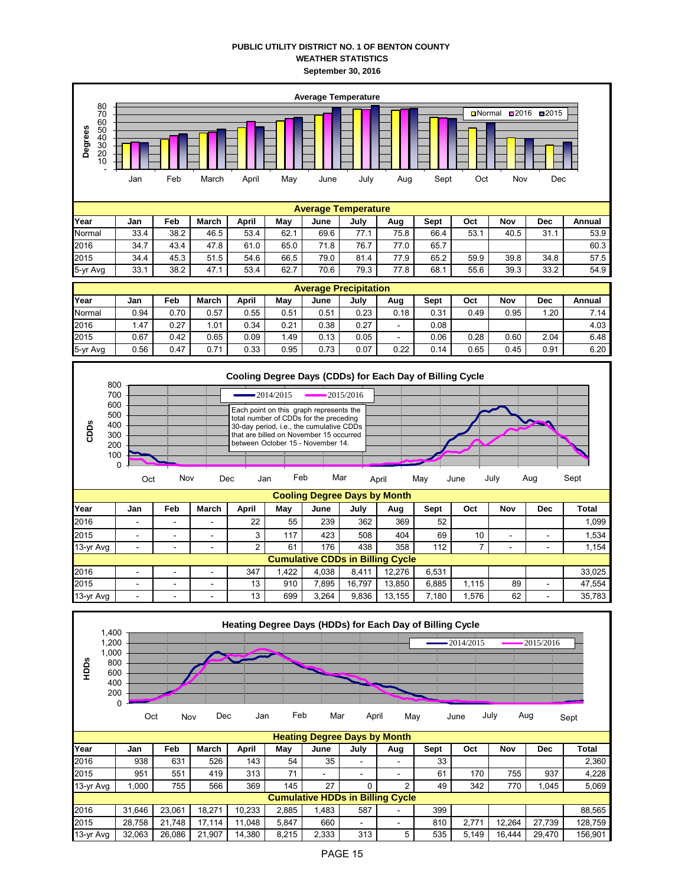## **PUBLIC UTILITY DISTRICT NO. 1 OF BENTON COUNTY WEATHER STATISTICS September 30, 2016**



|           | <b>Heating Degree Days by Month</b> |        |        |        |       |                                         |      |     |      |       |        |        |         |
|-----------|-------------------------------------|--------|--------|--------|-------|-----------------------------------------|------|-----|------|-------|--------|--------|---------|
| Year      | Jan                                 | Feb    | March  | April  | Mav   | June                                    | July | Aug | Sept | Oct   | Nov    | Dec    | Total   |
| 2016      | 938                                 | 631    | 526    | 143    | 54    | 35                                      |      |     | 33   |       |        |        | 2.360   |
| 2015      | 951                                 | 551    | 419    | 313    | 71    |                                         | -    |     | 61   | 170   | 755    | 937    | 4.228   |
| 13-yr Avg | 1.000                               | 755    | 566    | 369    | 145   | 27                                      |      | 2   | 49   | 342   | 770    | 1,045  | 5,069   |
|           |                                     |        |        |        |       | <b>Cumulative HDDs in Billing Cycle</b> |      |     |      |       |        |        |         |
| 2016      | 31.646                              | 23.061 | 18.271 | 10.233 | 2.885 | 1,483                                   | 587  |     | 399  |       |        |        | 88.565  |
| 2015      | 28.758                              | 21.748 | 17.114 | 11.048 | 5.847 | 660                                     | ۰    |     | 810  | 2.771 | 12.264 | 27.739 | 128.759 |
| 13-yr Avg | 32,063                              | 26.086 | 21.907 | 14.380 | 8,215 | 2,333                                   | 313  | 5   | 535  | 5.149 | 16.444 | 29.470 | 156.901 |

Oct Nov Dec Jan Feb Mar April May June July Aug <sub>Sept</sub>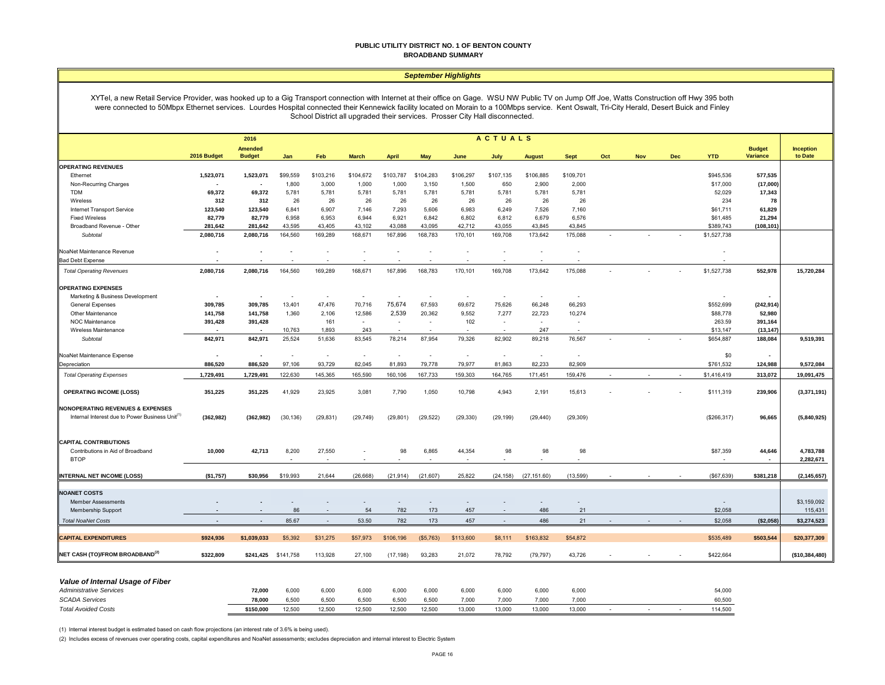#### **PUBLIC UTILITY DISTRICT NO. 1 OF BENTON COUNTY BROADBAND SUMMARY**

#### *September Highlights*

XYTel, a new Retail Service Provider, was hooked up to a Gig Transport connection with Internet at their office on Gage. WSU NW Public TV on Jump Off Joe, Watts Construction off Hwy 395 both were connected to 50Mbpx Ethernet services. Lourdes Hospital connected their Kennewick facility located on Morain to a 100Mbps service. Kent Oswalt, Tri-City Herald, Desert Buick and Finley School District all upgraded their services. Prosser City Hall disconnected.

|                                                                                                            |                          | 2016                            |                          |                          |              |                          |                          |           | ACTUALS   |                          |             |     |            |            |              |                                  |                             |
|------------------------------------------------------------------------------------------------------------|--------------------------|---------------------------------|--------------------------|--------------------------|--------------|--------------------------|--------------------------|-----------|-----------|--------------------------|-------------|-----|------------|------------|--------------|----------------------------------|-----------------------------|
|                                                                                                            | 2016 Budget              | <b>Amended</b><br><b>Budget</b> | Jan                      | Feb                      | <b>March</b> | <b>April</b>             | May                      | June      | July      | <b>August</b>            | <b>Sept</b> | Oct | <b>Nov</b> | <b>Dec</b> | <b>YTD</b>   | <b>Budget</b><br><b>Variance</b> | <b>Inception</b><br>to Date |
| <b>OPERATING REVENUES</b>                                                                                  |                          |                                 |                          |                          |              |                          |                          |           |           |                          |             |     |            |            |              |                                  |                             |
| Ethernet                                                                                                   | 1,523,071                | 1,523,071                       | \$99,559                 | \$103,216                | \$104,672    | \$103,787                | \$104,283                | \$106,297 | \$107,135 | \$106,885                | \$109,701   |     |            |            | \$945,536    | 577,535                          |                             |
| Non-Recurring Charges                                                                                      |                          |                                 | 1,800                    | 3,000                    | 1,000        | 1,000                    | 3,150                    | 1,500     | 650       | 2,900                    | 2,000       |     |            |            | \$17,000     | (17,000)                         |                             |
| <b>TDM</b>                                                                                                 | 69,372                   | 69,372                          | 5,781                    | 5,781                    | 5,781        | 5,781                    | 5,781                    | 5,781     | 5,781     | 5,781                    | 5,781       |     |            |            | 52,029       | 17,343                           |                             |
| Wireless                                                                                                   | 312                      | 312                             | 26                       | 26                       | 26           | 26                       | 26                       | 26        | 26        | 26                       | 26          |     |            |            | 234          | 78                               |                             |
| Internet Transport Service                                                                                 | 123,540                  | 123,540                         | 6,841                    | 6,907                    | 7,146        | 7,293                    | 5,606                    | 6,983     | 6,249     | 7,526                    | 7,160       |     |            |            | \$61,711     | 61,829                           |                             |
| <b>Fixed Wireless</b>                                                                                      | 82,779                   | 82,779                          | 6,958                    | 6,953                    | 6,944        | 6,921                    | 6,842                    | 6,802     | 6,812     | 6,679                    | 6,576       |     |            |            | \$61,485     | 21,294                           |                             |
| Broadband Revenue - Other                                                                                  | 281,642                  | 281,642                         | 43,595                   | 43,405                   | 43,102       | 43,088                   | 43,095                   | 42,712    | 43,055    | 43,845                   | 43,845      |     |            |            | \$389,743    | (108, 101)                       |                             |
| Subtotal                                                                                                   | 2,080,716                | 2,080,716                       | 164,560                  | 169,289                  | 168,671      | 167,896                  | 168,783                  | 170,101   | 169,708   | 173,642                  | 175,088     |     |            |            | \$1,527,738  |                                  |                             |
| NoaNet Maintenance Revenue                                                                                 |                          |                                 | $\overline{\phantom{a}}$ | $\overline{\phantom{a}}$ | ÷,           | $\overline{\phantom{a}}$ | $\overline{\phantom{a}}$ | $\sim$    | ÷,        | $\overline{\phantom{a}}$ |             |     |            |            |              |                                  |                             |
| <b>Bad Debt Expense</b>                                                                                    |                          |                                 |                          |                          |              |                          |                          |           |           |                          |             |     |            |            |              |                                  |                             |
|                                                                                                            |                          |                                 |                          |                          |              |                          |                          |           |           |                          |             |     |            |            |              |                                  |                             |
| <b>Total Operating Revenues</b>                                                                            | 2,080,716                | 2,080,716                       | 164,560                  | 169,289                  | 168,671      | 167,896                  | 168,783                  | 170,101   | 169,708   | 173,642                  | 175,088     |     |            |            | \$1,527,738  | 552,978                          | 15,720,284                  |
| <b>OPERATING EXPENSES</b>                                                                                  |                          |                                 |                          |                          |              |                          |                          |           |           |                          |             |     |            |            |              |                                  |                             |
| Marketing & Business Development                                                                           |                          | $\overline{\phantom{a}}$        | $\sim$                   | $\sim$                   |              | $\sim$                   | $\sim$                   | $\sim$    | $\sim$    | $\sim$                   | $\sim$      |     |            |            |              |                                  |                             |
| <b>General Expenses</b>                                                                                    | 309,785                  | 309,785                         | 13,401                   | 47,476                   | 70,716       | 75,674                   | 67,593                   | 69,672    | 75,626    | 66,248                   | 66,293      |     |            |            | \$552,699    | (242, 914)                       |                             |
| Other Maintenance                                                                                          | 141,758                  | 141,758                         | 1,360                    | 2,106                    | 12,586       | 2,539                    | 20,362                   | 9,552     | 7,277     | 22,723                   | 10,274      |     |            |            | \$88,778     | 52,980                           |                             |
| NOC Maintenance                                                                                            | 391,428                  | 391,428                         |                          | 161                      |              | $\sim$                   | $\sim$                   | 102       | $\sim$    | $\sim$                   | $\sim$      |     |            |            | 263.59       | 391,164                          |                             |
| <b>Wireless Maintenance</b>                                                                                |                          |                                 | 10,763                   | 1,893                    | 243          |                          |                          |           |           | 247                      |             |     |            |            | \$13,147     | (13, 147)                        |                             |
| Subtotal                                                                                                   | 842,971                  | 842,971                         | 25,524                   | 51,636                   | 83,545       | 78,214                   | 87,954                   | 79,326    | 82,902    | 89,218                   | 76,567      |     |            |            | \$654,887    | 188,084                          | 9,519,391                   |
| NoaNet Maintenance Expense                                                                                 | $\overline{\phantom{a}}$ | $\overline{\phantom{a}}$        | $\sim$                   | $\sim$                   | $\sim$       | $\sim$                   | $\sim$                   | $\sim$    | $\sim$    | $\sim$                   | $\sim$      |     |            |            | \$0          |                                  |                             |
| Depreciation                                                                                               | 886,520                  | 886,520                         | 97,106                   | 93,729                   | 82.045       | 81,893                   | 79,778                   | 79,977    | 81,863    | 82,233                   | 82,909      |     |            |            | \$761,532    | 124,988                          | 9,572,084                   |
| <b>Total Operating Expenses</b>                                                                            | 1,729,491                | 1,729,491                       | 122,630                  | 145,365                  | 165,590      | 160,106                  | 167,733                  | 159,303   | 164,765   | 171,451                  | 159,476     |     |            |            | \$1,416,419  | 313,072                          | 19,091,475                  |
| <b>OPERATING INCOME (LOSS)</b>                                                                             | 351,225                  | 351,225                         | 41,929                   | 23,925                   | 3,081        | 7,790                    | 1,050                    | 10,798    | 4,943     | 2,191                    | 15,613      |     |            |            | \$111,319    |                                  | (3,371,191)                 |
|                                                                                                            |                          |                                 |                          |                          |              |                          |                          |           |           |                          |             |     |            |            |              | 239,906                          |                             |
| <b>NONOPERATING REVENUES &amp; EXPENSES</b><br>Internal Interest due to Power Business Unit <sup>(1)</sup> | (362, 982)               | (362, 982)                      | (30, 136)                | (29, 831)                | (29, 749)    | (29, 801)                | (29, 522)                | (29, 330) | (29, 199) | (29, 440)                | (29, 309)   |     |            |            | (\$266,317)  | 96,665                           | (5,840,925)                 |
| <b>CAPITAL CONTRIBUTIONS</b>                                                                               |                          |                                 |                          |                          |              |                          |                          |           |           |                          |             |     |            |            |              |                                  |                             |
| Contributions in Aid of Broadband                                                                          | 10,000                   | 42,713                          | 8,200                    | 27,550                   |              | 98                       | 6,865                    | 44,354    | 98        | 98                       | 98          |     |            |            | \$87,359     | 44,646                           | 4,783,788                   |
| <b>BTOP</b>                                                                                                |                          |                                 |                          |                          |              |                          |                          |           |           |                          |             |     |            |            |              | $\sim$                           | 2,282,671                   |
| <b>INTERNAL NET INCOME (LOSS)</b>                                                                          | (\$1,757)                | \$30,956                        | \$19,993                 | 21,644                   | (26, 668)    | (21, 914)                | (21,607)                 | 25,822    | (24, 158) | (27, 151.60)             | (13,599)    |     |            |            | ( \$67, 639) | \$381,218                        | (2, 145, 657)               |
|                                                                                                            |                          |                                 |                          |                          |              |                          |                          |           |           |                          |             |     |            |            |              |                                  |                             |
| <b>NOANET COSTS</b>                                                                                        |                          |                                 |                          |                          |              |                          |                          |           |           |                          |             |     |            |            |              |                                  |                             |
| <b>Member Assessments</b>                                                                                  |                          |                                 |                          |                          |              |                          | $\overline{\phantom{a}}$ |           |           |                          |             |     |            |            |              |                                  | \$3,159,092                 |
| <b>Membership Support</b>                                                                                  |                          |                                 | 86                       | $\sim$                   | 54           | 782                      | 173                      | 457       |           | 486                      | 21          |     |            |            | \$2,058      |                                  | 115,431                     |
| <b>Total NoaNet Costs</b>                                                                                  | $\overline{\phantom{a}}$ | . .                             | 85.67                    | $\sim$                   | 53.50        | 782                      | 173                      | 457       | $\sim$    | 486                      | 21          |     |            |            | \$2,058      | (\$2,058)                        | \$3,274,523                 |
| <b>CAPITAL EXPENDITURES</b>                                                                                | \$924,936                | \$1,039,033                     | \$5,392                  | \$31,275                 | \$57,973     | \$106,196                | (S5, 763)                | \$113,600 | \$8,111   | \$163,832                | \$54,872    |     |            |            | \$535,489    | \$503,544                        | \$20,377,309                |
| NET CASH (TO)/FROM BROADBAND <sup>(2)</sup>                                                                | \$322,809                | \$241,425 \$141,758             |                          | 113,928                  | 27,100       | (17, 198)                | 93,283                   | 21,072    | 78,792    | (79, 797)                | 43,726      |     |            |            | \$422,664    |                                  | (\$10,384,480)              |
| Value of Internal Usage of Fiber                                                                           |                          |                                 |                          |                          |              |                          |                          |           |           |                          |             |     |            |            |              |                                  |                             |
| <b>Administrative Services</b>                                                                             |                          | 72,000                          | 6,000                    | 6,000                    | 6,000        | 6,000                    | 6,000                    | 6,000     | 6,000     | 6,000                    | 6,000       |     |            |            | 54,000       |                                  |                             |
| <b>SCADA Services</b>                                                                                      |                          | 78,000                          | 6,500                    | 6,500                    | 6,500        | 6,500                    | 6,500                    | 7,000     | 7,000     | 7,000                    | 7,000       |     |            |            | 60,500       |                                  |                             |

(1) Internal interest budget is estimated based on cash flow projections (an interest rate of 3.6% is being used).

(2) Includes excess of revenues over operating costs, capital expenditures and NoaNet assessments; excludes depreciation and internal interest to Electric System

*Total Avoided Costs* **\$150,000** 12,500 12,500 12,500 12,500 12,500 13,000 13,000 13,000 13,000 - - - 114,500